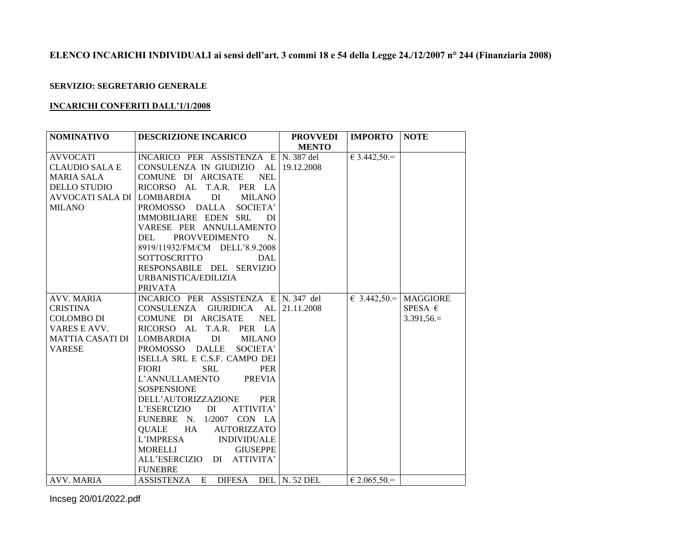## **ELENCO INCARICHI INDIVIDUALI ai sensi dell'art. 3 commi 18 e 54 della Legge 24./12/2007 n° 244 (Finanziaria 2008)**

## **SERVIZIO: SEGRETARIO GENERALE**

## **INCARICHI CONFERITI DALL'1/1/2008**

| <b>NOMINATIVO</b>          | <b>DESCRIZIONE INCARICO</b>          | <b>PROVVEDI</b> | <b>IMPORTO</b>        | <b>NOTE</b>              |
|----------------------------|--------------------------------------|-----------------|-----------------------|--------------------------|
|                            |                                      | <b>MENTO</b>    |                       |                          |
| <b>AVVOCATI</b>            | INCARICO PER ASSISTENZA E N. 387 del |                 | $63.442,50=$          |                          |
| <b>CLAUDIO SALA E</b>      | CONSULENZA IN GIUDIZIO AL 19.12.2008 |                 |                       |                          |
| <b>MARIA SALA</b>          | COMUNE DI ARCISATE<br><b>NEL</b>     |                 |                       |                          |
| <b>DELLO STUDIO</b>        | RICORSO AL T.A.R. PER LA             |                 |                       |                          |
| AVVOCATI SALA DI LOMBARDIA | DI<br><b>MILANO</b>                  |                 |                       |                          |
| <b>MILANO</b>              | PROMOSSO DALLA<br>SOCIETA'           |                 |                       |                          |
|                            | IMMOBILIARE EDEN<br><b>SRL</b><br>DI |                 |                       |                          |
|                            | VARESE PER ANNULLAMENTO              |                 |                       |                          |
|                            | <b>PROVVEDIMENTO</b><br>DEL<br>N.    |                 |                       |                          |
|                            | 8919/11932/FM/CM DELL'8.9.2008       |                 |                       |                          |
|                            | SOTTOSCRITTO<br><b>DAL</b>           |                 |                       |                          |
|                            | RESPONSABILE DEL SERVIZIO            |                 |                       |                          |
|                            | URBANISTICA/EDILIZIA                 |                 |                       |                          |
|                            | <b>PRIVATA</b>                       |                 |                       |                          |
| <b>AVV. MARIA</b>          | INCARICO PER ASSISTENZA E N. 347 del |                 |                       | $\in$ 3.442,50. MAGGIORE |
| <b>CRISTINA</b>            | CONSULENZA GIURIDICA AL 21.11.2008   |                 |                       | SPESA $\epsilon$         |
| <b>COLOMBO DI</b>          | COMUNE DI ARCISATE<br><b>NEL</b>     |                 |                       | $3.391,56.=$             |
| VARES E AVV.               | RICORSO AL T.A.R. PER LA             |                 |                       |                          |
| MATTIA CASATI DI LOMBARDIA | DI 1<br><b>MILANO</b>                |                 |                       |                          |
| <b>VARESE</b>              | PROMOSSO DALLE<br>SOCIETA'           |                 |                       |                          |
|                            | ISELLA SRL E C.S.F. CAMPO DEI        |                 |                       |                          |
|                            | <b>FIORI</b><br><b>SRL</b><br>PER    |                 |                       |                          |
|                            | L'ANNULLAMENTO<br><b>PREVIA</b>      |                 |                       |                          |
|                            | <b>SOSPENSIONE</b>                   |                 |                       |                          |
|                            | DELL'AUTORIZZAZIONE<br>PER           |                 |                       |                          |
|                            | L'ESERCIZIO DI<br>ATTIVITA'          |                 |                       |                          |
|                            | FUNEBRE N.<br>$1/2007$ CON LA        |                 |                       |                          |
|                            | QUALE HA<br><b>AUTORIZZATO</b>       |                 |                       |                          |
|                            | <b>INDIVIDUALE</b><br>L'IMPRESA      |                 |                       |                          |
|                            | MORELLI<br><b>GIUSEPPE</b>           |                 |                       |                          |
|                            | ALL'ESERCIZIO<br>DI ATTIVITA'        |                 |                       |                          |
|                            | <b>FUNEBRE</b>                       |                 |                       |                          |
| <b>AVV. MARIA</b>          | ASSISTENZA E<br><b>DIFESA</b>        | DEL $N.52$ DEL  | $\epsilon$ 2.065,50.= |                          |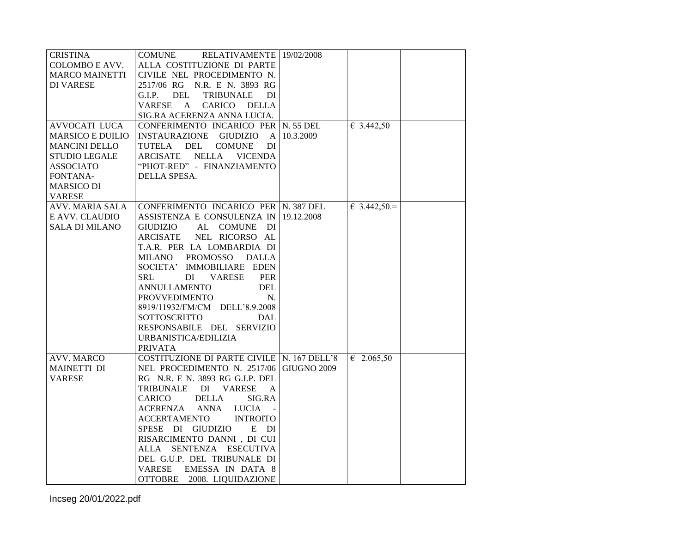| <b>CRISTINA</b>         | <b>COMUNE</b><br>RELATIVAMENTE 19/02/2008    |           |                     |  |
|-------------------------|----------------------------------------------|-----------|---------------------|--|
| COLOMBO E AVV.          | ALLA COSTITUZIONE DI PARTE                   |           |                     |  |
| <b>MARCO MAINETTI</b>   | CIVILE NEL PROCEDIMENTO N.                   |           |                     |  |
| <b>DI VARESE</b>        | 2517/06 RG N.R. E N. 3893 RG                 |           |                     |  |
|                         | DEL<br><b>TRIBUNALE</b><br>DI<br>G.I.P.      |           |                     |  |
|                         | VARESE<br>A<br>CARICO DELLA                  |           |                     |  |
|                         | SIG.RA ACERENZA ANNA LUCIA.                  |           |                     |  |
| <b>AVVOCATI LUCA</b>    | CONFERIMENTO INCARICO PER N. 55 DEL          |           | € 3.442,50          |  |
| <b>MARSICO E DUILIO</b> | INSTAURAZIONE GIUDIZIO A                     | 10.3.2009 |                     |  |
|                         |                                              |           |                     |  |
| <b>MANCINI DELLO</b>    | TUTELA DEL<br><b>COMUNE</b><br>DI            |           |                     |  |
| <b>STUDIO LEGALE</b>    | ARCISATE<br><b>NELLA</b><br><b>VICENDA</b>   |           |                     |  |
| ASSOCIATO               | "PHOT-RED" - FINANZIAMENTO                   |           |                     |  |
| FONTANA-                | DELLA SPESA.                                 |           |                     |  |
| <b>MARSICO DI</b>       |                                              |           |                     |  |
| <b>VARESE</b>           |                                              |           |                     |  |
| <b>AVV. MARIA SALA</b>  | CONFERIMENTO INCARICO PER N. 387 DEL         |           | € 3.442,50 =        |  |
| E AVV. CLAUDIO          | ASSISTENZA E CONSULENZA IN 19.12.2008        |           |                     |  |
| <b>SALA DI MILANO</b>   | GIUDIZIO<br>AL COMUNE DI                     |           |                     |  |
|                         | ARCISATE<br>NEL RICORSO AL                   |           |                     |  |
|                         | T.A.R. PER LA LOMBARDIA DI                   |           |                     |  |
|                         | MILANO PROMOSSO<br>DALLA                     |           |                     |  |
|                         | SOCIETA' IMMOBILIARE EDEN                    |           |                     |  |
|                         | SRL<br>DI<br>VARESE<br><b>PER</b>            |           |                     |  |
|                         |                                              |           |                     |  |
|                         | <b>ANNULLAMENTO</b><br><b>DEL</b>            |           |                     |  |
|                         | <b>PROVVEDIMENTO</b><br>N.                   |           |                     |  |
|                         | 8919/11932/FM/CM DELL'8.9.2008               |           |                     |  |
|                         | SOTTOSCRITTO<br>DAL                          |           |                     |  |
|                         | RESPONSABILE DEL SERVIZIO                    |           |                     |  |
|                         | URBANISTICA/EDILIZIA                         |           |                     |  |
|                         | <b>PRIVATA</b>                               |           |                     |  |
| <b>AVV. MARCO</b>       | COSTITUZIONE DI PARTE CIVILE   N. 167 DELL'8 |           | $\epsilon$ 2.065,50 |  |
| <b>MAINETTI DI</b>      | NEL PROCEDIMENTO N. 2517/06 GIUGNO 2009      |           |                     |  |
| <b>VARESE</b>           | RG N.R. E N. 3893 RG G.I.P. DEL              |           |                     |  |
|                         | TRIBUNALE DI VARESE<br>A                     |           |                     |  |
|                         | <b>DELLA</b><br>CARICO<br>SIG.RA             |           |                     |  |
|                         | ACERENZA ANNA LUCIA                          |           |                     |  |
|                         | <b>ACCERTAMENTO</b><br><b>INTROITO</b>       |           |                     |  |
|                         | SPESE DI GIUDIZIO<br>E DI                    |           |                     |  |
|                         | RISARCIMENTO DANNI, DI CUI                   |           |                     |  |
|                         | ALLA SENTENZA ESECUTIVA                      |           |                     |  |
|                         | DEL G.U.P. DEL TRIBUNALE DI                  |           |                     |  |
|                         | EMESSA IN DATA 8<br><b>VARESE</b>            |           |                     |  |
|                         | OTTOBRE 2008. LIQUIDAZIONE                   |           |                     |  |
|                         |                                              |           |                     |  |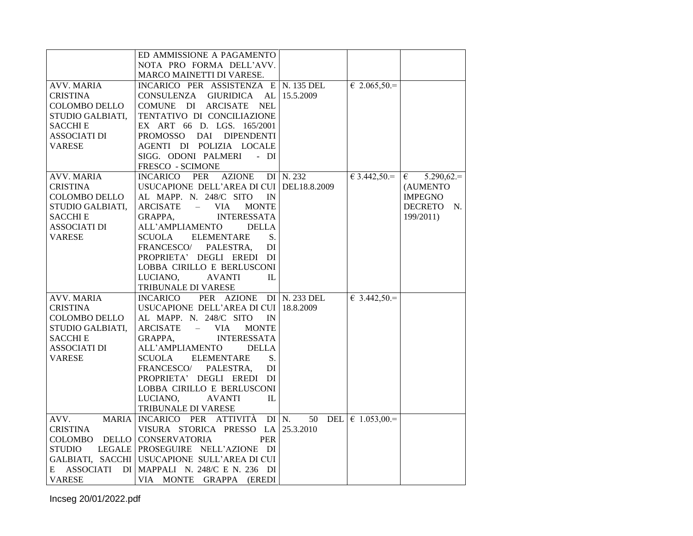|                       | ED AMMISSIONE A PAGAMENTO                          |               |                      |                   |
|-----------------------|----------------------------------------------------|---------------|----------------------|-------------------|
|                       | NOTA PRO FORMA DELL'AVV.                           |               |                      |                   |
|                       | MARCO MAINETTI DI VARESE.                          |               |                      |                   |
| <b>AVV. MARIA</b>     | INCARICO PER ASSISTENZA E N. 135 DEL               |               | $\epsilon$ 2.065,50. |                   |
| <b>CRISTINA</b>       | CONSULENZA<br><b>GIURIDICA</b><br>AL               | 15.5.2009     |                      |                   |
| <b>COLOMBO DELLO</b>  | COMUNE DI ARCISATE NEL                             |               |                      |                   |
| STUDIO GALBIATI,      | TENTATIVO DI CONCILIAZIONE                         |               |                      |                   |
| SACCHI E              | EX ART 66 D. LGS. 165/2001                         |               |                      |                   |
| <b>ASSOCIATI DI</b>   | <b>PROMOSSO</b><br>DAI<br><b>DIPENDENTI</b>        |               |                      |                   |
| <b>VARESE</b>         | AGENTI DI POLIZIA LOCALE                           |               |                      |                   |
|                       | SIGG. ODONI PALMERI<br>$-DI$                       |               |                      |                   |
|                       | FRESCO - SCIMONE                                   |               |                      |                   |
| <b>AVV. MARIA</b>     | INCARICO PER<br><b>AZIONE</b>                      | $DI$ N. 232   | $63.442,50=$         | $5.290,62.=$<br>€ |
| <b>CRISTINA</b>       | USUCAPIONE DELL'AREA DI CUI DEL18.8.2009           |               |                      | (AUMENTO          |
| <b>COLOMBO DELLO</b>  | AL MAPP. N. 248/C SITO<br>IN                       |               |                      | <b>IMPEGNO</b>    |
| STUDIO GALBIATI.      | ARCISATE<br>VIA.<br><b>MONTE</b><br>$\equiv$       |               |                      | DECRETO N.        |
| <b>SACCHIE</b>        | <b>INTERESSATA</b><br>GRAPPA,                      |               |                      | 199/2011)         |
| <b>ASSOCIATI DI</b>   | ALL'AMPLIAMENTO<br><b>DELLA</b>                    |               |                      |                   |
| <b>VARESE</b>         | <b>SCUOLA</b><br><b>ELEMENTARE</b><br>S.           |               |                      |                   |
|                       | FRANCESCO/<br>PALESTRA.<br>DI                      |               |                      |                   |
|                       | PROPRIETA' DEGLI EREDI DI                          |               |                      |                   |
|                       | LOBBA CIRILLO E BERLUSCONI                         |               |                      |                   |
|                       | LUCIANO,<br><b>AVANTI</b><br>IL                    |               |                      |                   |
|                       | TRIBUNALE DI VARESE                                |               |                      |                   |
| <b>AVV. MARIA</b>     | PER AZIONE DI N. 233 DEL<br><b>INCARICO</b>        |               | $\epsilon$ 3.442,50. |                   |
| <b>CRISTINA</b>       | USUCAPIONE DELL'AREA DI CUI 18.8.2009              |               |                      |                   |
| <b>COLOMBO DELLO</b>  | AL MAPP. N. 248/C SITO<br>IN                       |               |                      |                   |
| STUDIO GALBIATI,      | ARCISATE<br><b>VIA</b><br><b>MONTE</b><br>$\equiv$ |               |                      |                   |
| SACCHI E              | <b>INTERESSATA</b><br>GRAPPA,                      |               |                      |                   |
| <b>ASSOCIATI DI</b>   | ALL'AMPLIAMENTO<br><b>DELLA</b>                    |               |                      |                   |
| <b>VARESE</b>         | <b>SCUOLA</b><br><b>ELEMENTARE</b><br>S.           |               |                      |                   |
|                       | FRANCESCO/ PALESTRA,<br>DI                         |               |                      |                   |
|                       | PROPRIETA' DEGLI EREDI DI                          |               |                      |                   |
|                       | LOBBA CIRILLO E BERLUSCONI                         |               |                      |                   |
|                       | LUCIANO,<br><b>AVANTI</b><br>IL                    |               |                      |                   |
|                       | TRIBUNALE DI VARESE                                |               |                      |                   |
| AVV.<br><b>MARIA</b>  | INCARICO PER ATTIVITÀ                              | $DI$ N.<br>50 | DEL $\in$ 1.053,00.= |                   |
| <b>CRISTINA</b>       | VISURA STORICA PRESSO LA 25.3.2010                 |               |                      |                   |
| COLOMBO               | DELLO CONSERVATORIA<br><b>PER</b>                  |               |                      |                   |
| STUDIO                | LEGALE PROSEGUIRE NELL'AZIONE DI                   |               |                      |                   |
|                       | GALBIATI, SACCHI USUCAPIONE SULL'AREA DI CUI       |               |                      |                   |
| <b>ASSOCIATI</b><br>E | DI MAPPALI N. 248/C E N. 236 DI                    |               |                      |                   |
| <b>VARESE</b>         | VIA MONTE GRAPPA (EREDI                            |               |                      |                   |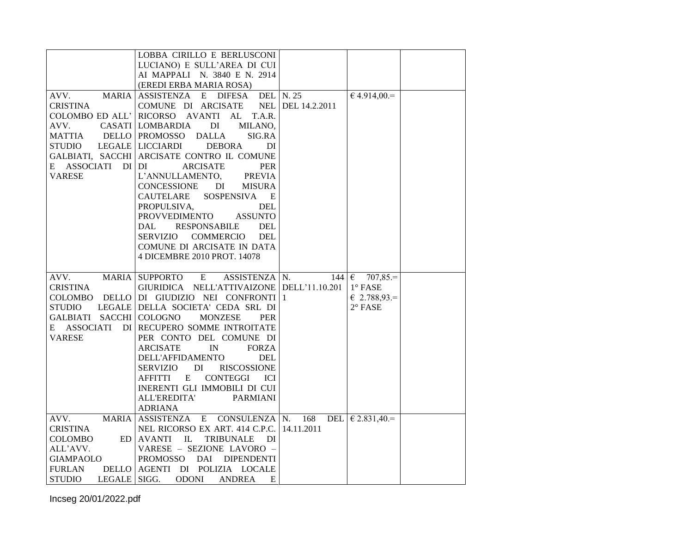|                               | LOBBA CIRILLO E BERLUSCONI                                           |                   |                      |  |
|-------------------------------|----------------------------------------------------------------------|-------------------|----------------------|--|
|                               |                                                                      |                   |                      |  |
|                               | LUCIANO) E SULL'AREA DI CUI                                          |                   |                      |  |
|                               | AI MAPPALI N. 3840 E N. 2914                                         |                   |                      |  |
|                               | (EREDI ERBA MARIA ROSA)                                              |                   |                      |  |
| <b>MARIA</b><br>AVV.          | <b>DIFESA</b><br>ASSISTENZA E                                        | <b>DEL</b> N. 25  | $€ 4.914,00.=$       |  |
| <b>CRISTINA</b>               | COMUNE DI ARCISATE                                                   | NEL DEL 14.2.2011 |                      |  |
| COLOMBO ED ALL'               | RICORSO AVANTI AL T.A.R.                                             |                   |                      |  |
| AVV.                          | CASATI LOMBARDIA<br>DI<br>MILANO,                                    |                   |                      |  |
| <b>MATTIA</b>                 | DELLO   PROMOSSO<br><b>DALLA</b><br>SIG.RA                           |                   |                      |  |
| <b>STUDIO</b>                 | LEGALE   LICCIARDI<br><b>DEBORA</b><br>DI                            |                   |                      |  |
|                               | GALBIATI, SACCHI ARCISATE CONTRO IL COMUNE                           |                   |                      |  |
| ASSOCIATI<br>DI DI<br>E       | <b>ARCISATE</b><br><b>PER</b>                                        |                   |                      |  |
| <b>VARESE</b>                 | L'ANNULLAMENTO,<br><b>PREVIA</b>                                     |                   |                      |  |
|                               | CONCESSIONE<br>DI<br><b>MISURA</b>                                   |                   |                      |  |
|                               | <b>SOSPENSIVA</b><br>CAUTELARE<br>E                                  |                   |                      |  |
|                               | PROPULSIVA,<br>DEL                                                   |                   |                      |  |
|                               | PROVVEDIMENTO<br><b>ASSUNTO</b>                                      |                   |                      |  |
|                               | DAL<br>RESPONSABILE<br><b>DEL</b>                                    |                   |                      |  |
|                               | COMMERCIO<br><b>DEL</b><br>SERVIZIO                                  |                   |                      |  |
|                               | COMUNE DI ARCISATE IN DATA                                           |                   |                      |  |
|                               | 4 DICEMBRE 2010 PROT. 14078                                          |                   |                      |  |
|                               |                                                                      |                   |                      |  |
|                               |                                                                      |                   |                      |  |
|                               |                                                                      |                   |                      |  |
| AVV.                          | MARIA SUPPORTO<br>$\mathbf{E}$<br>ASSISTENZA N.                      | $144 \mid \in$    | $707,85=$            |  |
| <b>CRISTINA</b>               | GIURIDICA NELL'ATTIVAIZONE DELL'11.10.201                            |                   | $1^\circ$ FASE       |  |
|                               | COLOMBO DELLO DI GIUDIZIO NEI CONFRONTI 1                            |                   | $\epsilon$ 2.788,93. |  |
| STUDIO                        | LEGALE DELLA SOCIETA' CEDA SRL DI                                    |                   | $2^{\circ}$ FASE     |  |
| GALBIATI SACCHI               | COLOGNO<br><b>MONZESE</b><br><b>PER</b>                              |                   |                      |  |
|                               | E ASSOCIATI DI RECUPERO SOMME INTROITATE                             |                   |                      |  |
| <b>VARESE</b>                 | PER CONTO DEL COMUNE DI                                              |                   |                      |  |
|                               | <b>ARCISATE</b><br>$\ensuremath{\text{IN}}$<br><b>FORZA</b>          |                   |                      |  |
|                               | DELL'AFFIDAMENTO<br><b>DEL</b>                                       |                   |                      |  |
|                               | DI<br>SERVIZIO<br><b>RISCOSSIONE</b>                                 |                   |                      |  |
|                               | AFFITTI<br>E<br>CONTEGGI<br>ICI                                      |                   |                      |  |
|                               | INERENTI GLI IMMOBILI DI CUI                                         |                   |                      |  |
|                               | <b>ALL'EREDITA'</b><br><b>PARMIANI</b>                               |                   |                      |  |
|                               | <b>ADRIANA</b>                                                       |                   |                      |  |
| AVV.                          | MARIA ASSISTENZA E CONSULENZA N.                                     | 168               | DEL $\in$ 2.831,40.= |  |
| <b>CRISTINA</b>               | NEL RICORSO EX ART. 414 C.P.C.                                       | 14.11.2011        |                      |  |
| COLOMBO<br>ED                 | AVANTI IL<br>TRIBUNALE DI                                            |                   |                      |  |
| ALL'AVV.                      | VARESE - SEZIONE LAVORO -                                            |                   |                      |  |
| GIAMPAOLO                     | PROMOSSO DAI DIPENDENTI                                              |                   |                      |  |
| <b>FURLAN</b><br>LEGALE SIGG. | DELLO AGENTI DI POLIZIA LOCALE<br><b>ODONI</b><br><b>ANDREA</b><br>E |                   |                      |  |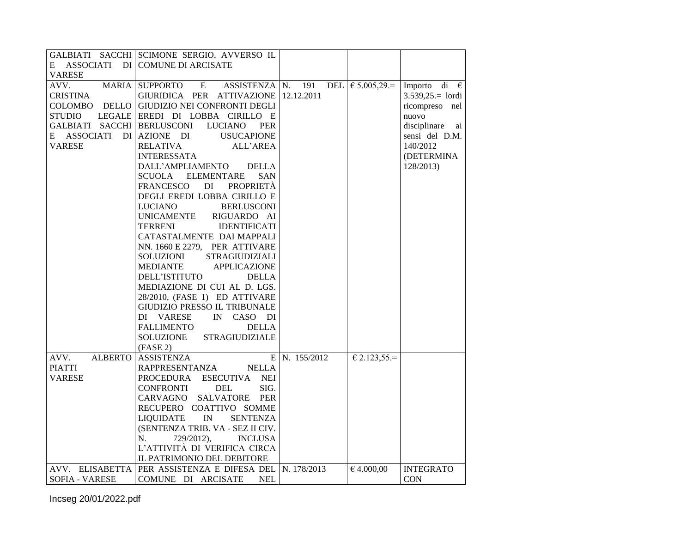|                                        | GALBIATI SACCHI SCIMONE SERGIO, AVVERSO IL                                                                                                                                                                                                                                                                                                                                                                                                                                                                                                                                                    |               |                             |                       |
|----------------------------------------|-----------------------------------------------------------------------------------------------------------------------------------------------------------------------------------------------------------------------------------------------------------------------------------------------------------------------------------------------------------------------------------------------------------------------------------------------------------------------------------------------------------------------------------------------------------------------------------------------|---------------|-----------------------------|-----------------------|
|                                        | E ASSOCIATI DI COMUNE DI ARCISATE                                                                                                                                                                                                                                                                                                                                                                                                                                                                                                                                                             |               |                             |                       |
| <b>VARESE</b>                          |                                                                                                                                                                                                                                                                                                                                                                                                                                                                                                                                                                                               |               |                             |                       |
| AVV.                                   | MARIA SUPPORTO E<br>$ASSISTENZA N.$ 191                                                                                                                                                                                                                                                                                                                                                                                                                                                                                                                                                       |               | DEL $\in 5.005,29.$         | Importo di $\epsilon$ |
| <b>CRISTINA</b>                        | GIURIDICA PER ATTIVAZIONE 12.12.2011                                                                                                                                                                                                                                                                                                                                                                                                                                                                                                                                                          |               |                             | $3.539,25 =$ lordi    |
|                                        | COLOMBO DELLO GIUDIZIO NEI CONFRONTI DEGLI                                                                                                                                                                                                                                                                                                                                                                                                                                                                                                                                                    |               |                             | ricompreso nel        |
|                                        | LEGALE EREDI DI LOBBA CIRILLO E                                                                                                                                                                                                                                                                                                                                                                                                                                                                                                                                                               |               |                             |                       |
| <b>STUDIO</b>                          |                                                                                                                                                                                                                                                                                                                                                                                                                                                                                                                                                                                               |               |                             | nuovo                 |
| GALBIATI SACCHI BERLUSCONI             | <b>LUCIANO</b><br><b>PER</b>                                                                                                                                                                                                                                                                                                                                                                                                                                                                                                                                                                  |               |                             | disciplinare<br>ai    |
| E ASSOCIATI                            | DI AZIONE DI<br><b>USUCAPIONE</b>                                                                                                                                                                                                                                                                                                                                                                                                                                                                                                                                                             |               |                             | sensi del D.M.        |
| <b>VARESE</b>                          | <b>RELATIVA</b><br>ALL'AREA                                                                                                                                                                                                                                                                                                                                                                                                                                                                                                                                                                   |               |                             | 140/2012              |
|                                        | <b>INTERESSATA</b>                                                                                                                                                                                                                                                                                                                                                                                                                                                                                                                                                                            |               |                             | (DETERMINA            |
|                                        | DALL'AMPLIAMENTO<br><b>DELLA</b>                                                                                                                                                                                                                                                                                                                                                                                                                                                                                                                                                              |               |                             | 128/2013)             |
|                                        | <b>SCUOLA</b><br><b>ELEMENTARE</b><br><b>SAN</b>                                                                                                                                                                                                                                                                                                                                                                                                                                                                                                                                              |               |                             |                       |
|                                        | FRANCESCO<br>DI PROPRIETA                                                                                                                                                                                                                                                                                                                                                                                                                                                                                                                                                                     |               |                             |                       |
|                                        | DEGLI EREDI LOBBA CIRILLO E                                                                                                                                                                                                                                                                                                                                                                                                                                                                                                                                                                   |               |                             |                       |
|                                        | LUCIANO<br><b>BERLUSCONI</b>                                                                                                                                                                                                                                                                                                                                                                                                                                                                                                                                                                  |               |                             |                       |
|                                        | <b>UNICAMENTE</b><br>RIGUARDO AI                                                                                                                                                                                                                                                                                                                                                                                                                                                                                                                                                              |               |                             |                       |
|                                        | <b>TERRENI</b><br><b>IDENTIFICATI</b>                                                                                                                                                                                                                                                                                                                                                                                                                                                                                                                                                         |               |                             |                       |
|                                        | CATASTALMENTE DAI MAPPALI                                                                                                                                                                                                                                                                                                                                                                                                                                                                                                                                                                     |               |                             |                       |
|                                        | NN. 1660 E 2279, PER ATTIVARE                                                                                                                                                                                                                                                                                                                                                                                                                                                                                                                                                                 |               |                             |                       |
|                                        | SOLUZIONI STRAGIUDIZIALI                                                                                                                                                                                                                                                                                                                                                                                                                                                                                                                                                                      |               |                             |                       |
|                                        | <b>APPLICAZIONE</b><br>MEDIANTE                                                                                                                                                                                                                                                                                                                                                                                                                                                                                                                                                               |               |                             |                       |
|                                        | DELL'ISTITUTO<br><b>DELLA</b>                                                                                                                                                                                                                                                                                                                                                                                                                                                                                                                                                                 |               |                             |                       |
|                                        | MEDIAZIONE DI CUI AL D. LGS.                                                                                                                                                                                                                                                                                                                                                                                                                                                                                                                                                                  |               |                             |                       |
|                                        |                                                                                                                                                                                                                                                                                                                                                                                                                                                                                                                                                                                               |               |                             |                       |
|                                        |                                                                                                                                                                                                                                                                                                                                                                                                                                                                                                                                                                                               |               |                             |                       |
|                                        |                                                                                                                                                                                                                                                                                                                                                                                                                                                                                                                                                                                               |               |                             |                       |
|                                        |                                                                                                                                                                                                                                                                                                                                                                                                                                                                                                                                                                                               |               |                             |                       |
|                                        |                                                                                                                                                                                                                                                                                                                                                                                                                                                                                                                                                                                               |               |                             |                       |
|                                        |                                                                                                                                                                                                                                                                                                                                                                                                                                                                                                                                                                                               |               |                             |                       |
|                                        |                                                                                                                                                                                                                                                                                                                                                                                                                                                                                                                                                                                               |               |                             |                       |
|                                        |                                                                                                                                                                                                                                                                                                                                                                                                                                                                                                                                                                                               |               |                             |                       |
|                                        |                                                                                                                                                                                                                                                                                                                                                                                                                                                                                                                                                                                               |               |                             |                       |
|                                        |                                                                                                                                                                                                                                                                                                                                                                                                                                                                                                                                                                                               |               |                             |                       |
|                                        |                                                                                                                                                                                                                                                                                                                                                                                                                                                                                                                                                                                               |               |                             |                       |
|                                        |                                                                                                                                                                                                                                                                                                                                                                                                                                                                                                                                                                                               |               |                             |                       |
|                                        |                                                                                                                                                                                                                                                                                                                                                                                                                                                                                                                                                                                               |               |                             |                       |
|                                        |                                                                                                                                                                                                                                                                                                                                                                                                                                                                                                                                                                                               |               |                             |                       |
|                                        |                                                                                                                                                                                                                                                                                                                                                                                                                                                                                                                                                                                               |               |                             |                       |
|                                        |                                                                                                                                                                                                                                                                                                                                                                                                                                                                                                                                                                                               |               |                             |                       |
|                                        |                                                                                                                                                                                                                                                                                                                                                                                                                                                                                                                                                                                               |               |                             |                       |
|                                        |                                                                                                                                                                                                                                                                                                                                                                                                                                                                                                                                                                                               |               |                             |                       |
| <b>SOFIA - VARESE</b>                  | COMUNE DI ARCISATE<br><b>NEL</b>                                                                                                                                                                                                                                                                                                                                                                                                                                                                                                                                                              |               |                             | <b>CON</b>            |
| AVV.<br><b>PIATTI</b><br><b>VARESE</b> | 28/2010, (FASE 1) ED ATTIVARE<br><b>GIUDIZIO PRESSO IL TRIBUNALE</b><br>DI VARESE<br>IN CASO DI<br><b>FALLIMENTO</b><br><b>DELLA</b><br>SOLUZIONE<br><b>STRAGIUDIZIALE</b><br>(FASE 2)<br>ALBERTO ASSISTENZA<br>RAPPRESENTANZA NELLA<br>PROCEDURA ESECUTIVA NEI<br>CONFRONTI<br><b>DEL</b><br>SIG.<br>CARVAGNO SALVATORE PER<br>RECUPERO COATTIVO SOMME<br>LIQUIDATE IN<br><b>SENTENZA</b><br>(SENTENZA TRIB. VA - SEZ II CIV.<br><b>INCLUSA</b><br>N.<br>729/2012),<br>L'ATTIVITÀ DI VERIFICA CIRCA<br>IL PATRIMONIO DEL DEBITORE<br>AVV. ELISABETTA PER ASSISTENZA E DIFESA DEL N. 178/2013 | E N. 155/2012 | $E$ 2.123,55.<br>€ 4.000,00 | <b>INTEGRATO</b>      |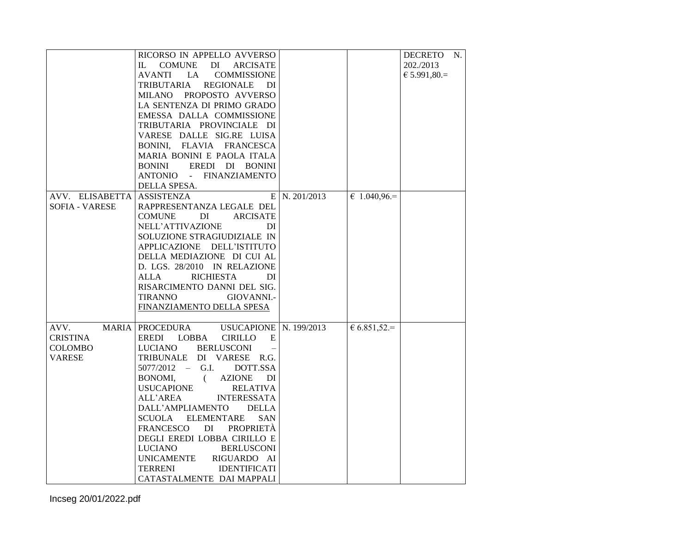|                       | RICORSO IN APPELLO AVVERSO                             |               |              | DECRETO N.   |  |
|-----------------------|--------------------------------------------------------|---------------|--------------|--------------|--|
|                       | <b>COMUNE</b><br>DI<br><b>ARCISATE</b><br>$\mathbf{L}$ |               |              | 202./2013    |  |
|                       | <b>AVANTI</b><br>LA<br><b>COMMISSIONE</b>              |               |              | € 5.991,80.= |  |
|                       |                                                        |               |              |              |  |
|                       | TRIBUTARIA<br><b>REGIONALE</b><br>DI                   |               |              |              |  |
|                       | MILANO PROPOSTO AVVERSO                                |               |              |              |  |
|                       | LA SENTENZA DI PRIMO GRADO                             |               |              |              |  |
|                       | EMESSA DALLA COMMISSIONE                               |               |              |              |  |
|                       | TRIBUTARIA PROVINCIALE DI                              |               |              |              |  |
|                       | VARESE DALLE SIG.RE LUISA                              |               |              |              |  |
|                       | BONINI, FLAVIA FRANCESCA                               |               |              |              |  |
|                       | MARIA BONINI E PAOLA ITALA                             |               |              |              |  |
|                       | <b>BONINI</b><br>EREDI DI BONINI                       |               |              |              |  |
|                       | ANTONIO - FINANZIAMENTO                                |               |              |              |  |
|                       | DELLA SPESA.                                           |               |              |              |  |
| AVV. ELISABETTA       | <b>ASSISTENZA</b>                                      | E N. 201/2013 | $61.040,96=$ |              |  |
| <b>SOFIA - VARESE</b> | RAPPRESENTANZA LEGALE DEL                              |               |              |              |  |
|                       | <b>ARCISATE</b><br><b>COMUNE</b><br>DI                 |               |              |              |  |
|                       | NELL'ATTIVAZIONE<br>DI                                 |               |              |              |  |
|                       |                                                        |               |              |              |  |
|                       | SOLUZIONE STRAGIUDIZIALE IN                            |               |              |              |  |
|                       | APPLICAZIONE DELL'ISTITUTO                             |               |              |              |  |
|                       | DELLA MEDIAZIONE DI CUI AL                             |               |              |              |  |
|                       | D. LGS. 28/2010 IN RELAZIONE                           |               |              |              |  |
|                       | <b>RICHIESTA</b><br>ALLA<br>DI                         |               |              |              |  |
|                       | RISARCIMENTO DANNI DEL SIG.                            |               |              |              |  |
|                       | <b>TIRANNO</b><br>GIOVANNI.-                           |               |              |              |  |
|                       | FINANZIAMENTO DELLA SPESA                              |               |              |              |  |
|                       |                                                        |               |              |              |  |
| AVV.                  | MARIA   PROCEDURA USUCAPIONE   N. 199/2013             |               | $6.851,52=$  |              |  |
|                       |                                                        |               |              |              |  |
| CRISTINA              | EREDI LOBBA<br>CIRILLO<br>E                            |               |              |              |  |
| COLOMBO               | <b>BERLUSCONI</b><br><b>LUCIANO</b>                    |               |              |              |  |
| <b>VARESE</b>         | TRIBUNALE DI VARESE R.G.                               |               |              |              |  |
|                       | $5077/2012 - G.I.$<br>DOTT.SSA                         |               |              |              |  |
|                       | <b>AZIONE</b><br>BONOMI.<br>$\overline{a}$<br>DI       |               |              |              |  |
|                       | <b>USUCAPIONE</b><br><b>RELATIVA</b>                   |               |              |              |  |
|                       | ALL'AREA<br><b>INTERESSATA</b>                         |               |              |              |  |
|                       | DALL'AMPLIAMENTO<br><b>DELLA</b>                       |               |              |              |  |
|                       | <b>ELEMENTARE</b><br>SCUOLA<br><b>SAN</b>              |               |              |              |  |
|                       | <b>FRANCESCO</b><br>DI PROPRIETÀ                       |               |              |              |  |
|                       | DEGLI EREDI LOBBA CIRILLO E                            |               |              |              |  |
|                       | <b>LUCIANO</b><br><b>BERLUSCONI</b>                    |               |              |              |  |
|                       |                                                        |               |              |              |  |
|                       | <b>UNICAMENTE</b><br>RIGUARDO AI                       |               |              |              |  |
|                       | <b>TERRENI</b><br><b>IDENTIFICATI</b>                  |               |              |              |  |
|                       | CATASTALMENTE DAI MAPPALI                              |               |              |              |  |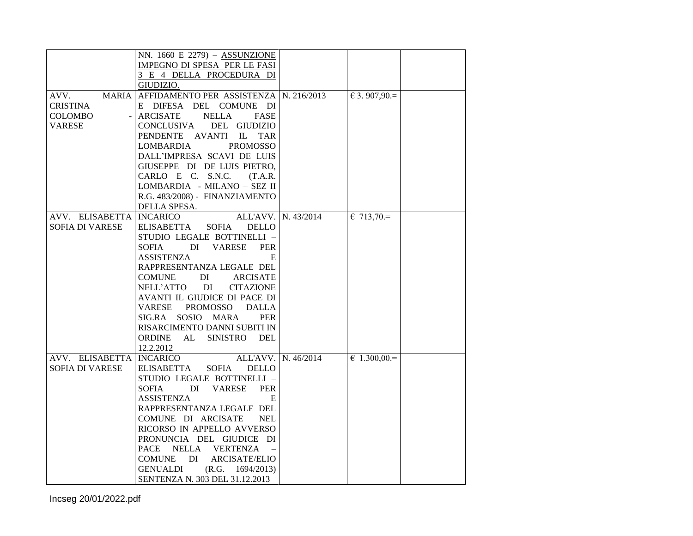|                        | NN. $1660$ E 2279) - ASSUNZIONE                   |                     |                      |  |
|------------------------|---------------------------------------------------|---------------------|----------------------|--|
|                        | <b>IMPEGNO DI SPESA PER LE FASI</b>               |                     |                      |  |
|                        | 3 E 4 DELLA PROCEDURA DI                          |                     |                      |  |
|                        | GIUDIZIO.                                         |                     |                      |  |
| <b>MARIA</b><br>AVV.   | AFFIDAMENTO PER ASSISTENZA   N. 216/2013          |                     | $€ 3.907,90.=$       |  |
| <b>CRISTINA</b>        | E DIFESA DEL COMUNE DI                            |                     |                      |  |
| COLOMBO                | ARCISATE<br><b>NELLA</b><br><b>FASE</b>           |                     |                      |  |
| <b>VARESE</b>          | CONCLUSIVA<br>DEL GIUDIZIO                        |                     |                      |  |
|                        | PENDENTE AVANTI<br>$\mathbb{L}$<br><b>TAR</b>     |                     |                      |  |
|                        | <b>PROMOSSO</b><br><b>LOMBARDIA</b>               |                     |                      |  |
|                        | DALL'IMPRESA SCAVI DE LUIS                        |                     |                      |  |
|                        | GIUSEPPE DI DE LUIS PIETRO,                       |                     |                      |  |
|                        | CARLO E C. S.N.C.<br>(T.A.R.                      |                     |                      |  |
|                        | LOMBARDIA - MILANO - SEZ II                       |                     |                      |  |
|                        | R.G. 483/2008) - FINANZIAMENTO                    |                     |                      |  |
|                        | DELLA SPESA.                                      |                     |                      |  |
| AVV. ELISABETTA        | <b>INCARICO</b><br>ALL'AVV.                       | N. 43/2014          | $& 713,70=$          |  |
| <b>SOFIA DI VARESE</b> | <b>ELISABETTA</b><br><b>SOFIA</b><br><b>DELLO</b> |                     |                      |  |
|                        | STUDIO LEGALE BOTTINELLI -                        |                     |                      |  |
|                        | SOFIA<br>DI<br><b>VARESE</b><br><b>PER</b>        |                     |                      |  |
|                        | <b>ASSISTENZA</b><br>E                            |                     |                      |  |
|                        | RAPPRESENTANZA LEGALE DEL                         |                     |                      |  |
|                        | <b>COMUNE</b><br>DI<br><b>ARCISATE</b>            |                     |                      |  |
|                        | <b>NELL'ATTO</b><br><b>CITAZIONE</b><br>DI        |                     |                      |  |
|                        | AVANTI IL GIUDICE DI PACE DI                      |                     |                      |  |
|                        | VARESE<br>PROMOSSO<br><b>DALLA</b>                |                     |                      |  |
|                        | SIG.RA SOSIO MARA<br><b>PER</b>                   |                     |                      |  |
|                        | RISARCIMENTO DANNI SUBITI IN                      |                     |                      |  |
|                        | <b>SINISTRO</b><br>ORDINE AL<br><b>DEL</b>        |                     |                      |  |
|                        |                                                   |                     |                      |  |
| AVV. ELISABETTA        | 12.2.2012<br><b>INCARICO</b>                      | ALL'AVV. N. 46/2014 | $\epsilon$ 1.300,00. |  |
| SOFIA DI VARESE        | <b>ELISABETTA</b><br><b>SOFIA</b><br><b>DELLO</b> |                     |                      |  |
|                        | STUDIO LEGALE BOTTINELLI -                        |                     |                      |  |
|                        | <b>SOFIA</b><br><b>VARESE</b><br><b>PER</b>       |                     |                      |  |
|                        | DI<br><b>ASSISTENZA</b><br>Е                      |                     |                      |  |
|                        | RAPPRESENTANZA LEGALE DEL                         |                     |                      |  |
|                        | COMUNE DI ARCISATE                                |                     |                      |  |
|                        | <b>NEL</b><br>RICORSO IN APPELLO AVVERSO          |                     |                      |  |
|                        | PRONUNCIA DEL GIUDICE DI                          |                     |                      |  |
|                        | PACE NELLA<br><b>VERTENZA</b>                     |                     |                      |  |
|                        | COMUNE DI<br><b>ARCISATE/ELIO</b>                 |                     |                      |  |
|                        | <b>GENUALDI</b><br>(R.G.<br>1694/2013)            |                     |                      |  |
|                        |                                                   |                     |                      |  |
|                        | SENTENZA N. 303 DEL 31.12.2013                    |                     |                      |  |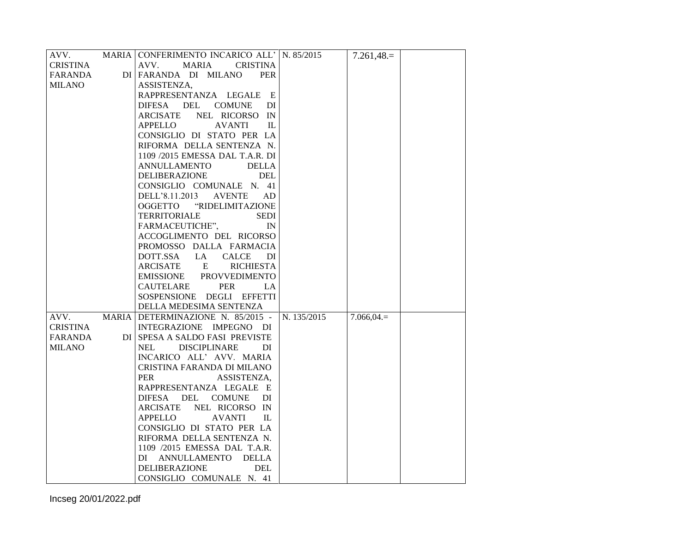| AVV.            | MARIA CONFERIMENTO INCARICO ALL' N. 85/2015 |             | $7.261,48=$  |  |
|-----------------|---------------------------------------------|-------------|--------------|--|
| <b>CRISTINA</b> | AVV.<br><b>MARIA</b><br><b>CRISTINA</b>     |             |              |  |
| FARANDA         | DI FARANDA DI MILANO<br><b>PER</b>          |             |              |  |
| <b>MILANO</b>   | ASSISTENZA,                                 |             |              |  |
|                 | RAPPRESENTANZA LEGALE E                     |             |              |  |
|                 | DIFESA DEL<br>COMUNE<br>DI                  |             |              |  |
|                 | ARCISATE<br>NEL RICORSO IN                  |             |              |  |
|                 | <b>APPELLO</b><br><b>AVANTI</b><br>IL       |             |              |  |
|                 | CONSIGLIO DI STATO PER LA                   |             |              |  |
|                 | RIFORMA DELLA SENTENZA N.                   |             |              |  |
|                 | 1109 /2015 EMESSA DAL T.A.R. DI             |             |              |  |
|                 | ANNULLAMENTO<br><b>DELLA</b>                |             |              |  |
|                 | DELIBERAZIONE<br><b>DEL</b>                 |             |              |  |
|                 | CONSIGLIO COMUNALE N. 41                    |             |              |  |
|                 | DELL'8.11.2013<br><b>AVENTE</b><br>AD       |             |              |  |
|                 | OGGETTO "RIDELIMITAZIONE                    |             |              |  |
|                 | <b>TERRITORIALE</b><br><b>SEDI</b>          |             |              |  |
|                 | FARMACEUTICHE",<br>IN                       |             |              |  |
|                 | ACCOGLIMENTO DEL RICORSO                    |             |              |  |
|                 | PROMOSSO DALLA FARMACIA                     |             |              |  |
|                 | DOTT.SSA LA<br><b>CALCE</b><br>DI           |             |              |  |
|                 | ARCISATE E<br><b>RICHIESTA</b>              |             |              |  |
|                 | EMISSIONE PROVVEDIMENTO                     |             |              |  |
|                 | CAUTELARE<br>PER<br>LA                      |             |              |  |
|                 | SOSPENSIONE DEGLI EFFETTI                   |             |              |  |
|                 | DELLA MEDESIMA SENTENZA                     |             |              |  |
| AVV.            | MARIA DETERMINAZIONE N. 85/2015 -           | N. 135/2015 | $7.066,04.=$ |  |
| CRISTINA        | INTEGRAZIONE IMPEGNO DI                     |             |              |  |
| FARANDA         | DI SPESA A SALDO FASI PREVISTE              |             |              |  |
| <b>MILANO</b>   | NEL<br><b>DISCIPLINARE</b><br>DI            |             |              |  |
|                 | INCARICO ALL' AVV. MARIA                    |             |              |  |
|                 | CRISTINA FARANDA DI MILANO                  |             |              |  |
|                 | <b>PER</b><br>ASSISTENZA,                   |             |              |  |
|                 | RAPPRESENTANZA LEGALE E                     |             |              |  |
|                 | DIFESA DEL<br>COMUNE<br>DI.                 |             |              |  |
|                 | ARCISATE NEL RICORSO IN                     |             |              |  |
|                 | APPELLO<br><b>AVANTI</b><br>$\Pi$ .         |             |              |  |
|                 | CONSIGLIO DI STATO PER LA                   |             |              |  |
|                 | RIFORMA DELLA SENTENZA N.                   |             |              |  |
|                 | 1109 /2015 EMESSA DAL T.A.R.                |             |              |  |
|                 | DI ANNULLAMENTO<br>DELLA                    |             |              |  |
|                 | <b>DELIBERAZIONE</b><br><b>DEL</b>          |             |              |  |
|                 | CONSIGLIO COMUNALE N. 41                    |             |              |  |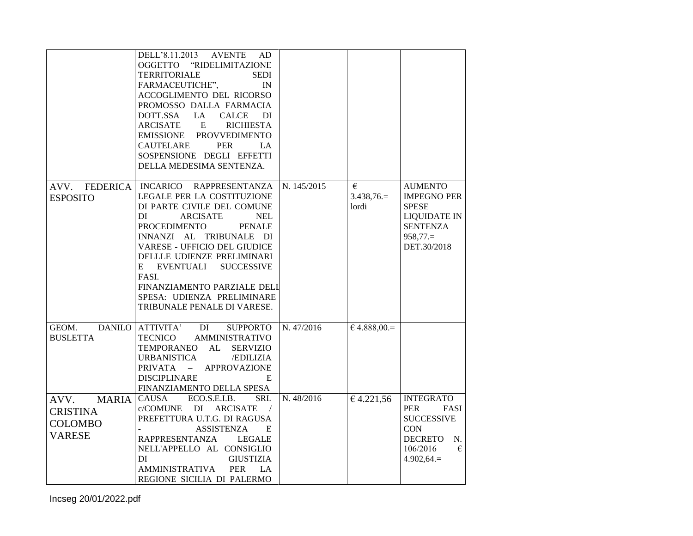|                                                                            | DELL'8.11.2013 AVENTE<br>AD.<br>OGGETTO "RIDELIMITAZIONE<br><b>TERRITORIALE</b><br><b>SEDI</b><br>FARMACEUTICHE",<br>$\mathbb{N}$<br>ACCOGLIMENTO DEL RICORSO<br>PROMOSSO DALLA FARMACIA<br>DOTT.SSA<br>LA<br>CALCE<br>DI<br>ARCISATE E<br><b>RICHIESTA</b><br>EMISSIONE PROVVEDIMENTO<br><b>PER</b><br>CAUTELARE<br>LA.<br>SOSPENSIONE DEGLI EFFETTI<br>DELLA MEDESIMA SENTENZA.                    |             |                           |                                                                                                                                      |
|----------------------------------------------------------------------------|------------------------------------------------------------------------------------------------------------------------------------------------------------------------------------------------------------------------------------------------------------------------------------------------------------------------------------------------------------------------------------------------------|-------------|---------------------------|--------------------------------------------------------------------------------------------------------------------------------------|
| AVV. FEDERICA<br><b>ESPOSITO</b>                                           | INCARICO RAPPRESENTANZA<br>LEGALE PER LA COSTITUZIONE<br>DI PARTE CIVILE DEL COMUNE<br>DI<br><b>ARCISATE</b><br><b>NEL</b><br><b>PROCEDIMENTO</b><br><b>PENALE</b><br>INNANZI AL TRIBUNALE DI<br>VARESE - UFFICIO DEL GIUDICE<br>DELLLE UDIENZE PRELIMINARI<br>E EVENTUALI<br><b>SUCCESSIVE</b><br>FASI.<br>FINANZIAMENTO PARZIALE DELI<br>SPESA: UDIENZA PRELIMINARE<br>TRIBUNALE PENALE DI VARESE. | N. 145/2015 | €<br>$3.438,76=$<br>lordi | <b>AUMENTO</b><br><b>IMPEGNO PER</b><br><b>SPESE</b><br><b>LIQUIDATE IN</b><br><b>SENTENZA</b><br>$958,77.=$<br>DET.30/2018          |
| GEOM.<br><b>BUSLETTA</b>                                                   | DANILO ATTIVITA'<br>DI<br><b>SUPPORTO</b><br><b>AMMINISTRATIVO</b><br>TECNICO<br>TEMPORANEO AL<br><b>SERVIZIO</b><br><b>URBANISTICA</b><br><b>EDILIZIA</b><br>PRIVATA - APPROVAZIONE<br><b>DISCIPLINARE</b><br>E<br>FINANZIAMENTO DELLA SPESA                                                                                                                                                        | N. 47/2016  | $64.888,00=$              |                                                                                                                                      |
| <b>MARIA</b><br>AVV.<br><b>CRISTINA</b><br><b>COLOMBO</b><br><b>VARESE</b> | ECO.S.E.I.B.<br><b>SRL</b><br>CAUSA<br>c/COMUNE DI ARCISATE<br>$\sqrt{2}$<br>PREFETTURA U.T.G. DI RAGUSA<br><b>ASSISTENZA</b><br>E<br>RAPPRESENTANZA<br>LEGALE<br>NELL'APPELLO AL CONSIGLIO<br>DI<br><b>GIUSTIZIA</b><br><b>AMMINISTRATIVA</b><br><b>PER</b><br>LA<br>REGIONE SICILIA DI PALERMO                                                                                                     | N. 48/2016  | 64.221,56                 | <b>INTEGRATO</b><br>FASI<br>PER<br><b>SUCCESSIVE</b><br><b>CON</b><br><b>DECRETO</b><br>N.<br>$\epsilon$<br>106/2016<br>$4.902,64 =$ |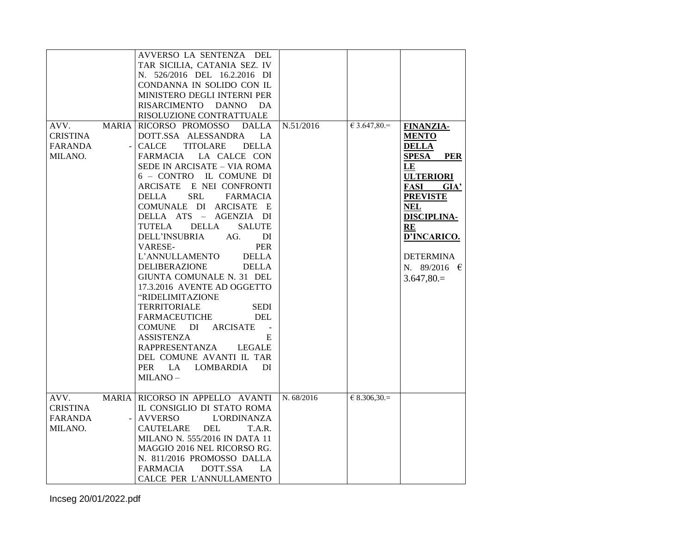|          |              | AVVERSO LA SENTENZA DEL                  |            |                       |                            |
|----------|--------------|------------------------------------------|------------|-----------------------|----------------------------|
|          |              | TAR SICILIA, CATANIA SEZ. IV             |            |                       |                            |
|          |              | N. 526/2016 DEL 16.2.2016 DI             |            |                       |                            |
|          |              | CONDANNA IN SOLIDO CON IL                |            |                       |                            |
|          |              | MINISTERO DEGLI INTERNI PER              |            |                       |                            |
|          |              | RISARCIMENTO DANNO<br>DA.                |            |                       |                            |
|          |              | RISOLUZIONE CONTRATTUALE                 |            |                       |                            |
| AVV.     | <b>MARIA</b> | RICORSO PROMOSSO<br><b>DALLA</b>         | N.51/2016  | $\epsilon$ 3.647,80.= | <b>FINANZIA-</b>           |
| CRISTINA |              | DOTT.SSA ALESSANDRA<br>LA                |            |                       | <b>MENTO</b>               |
| FARANDA  |              | <b>CALCE</b><br>TITOLARE<br><b>DELLA</b> |            |                       | <b>DELLA</b>               |
| MILANO.  |              | FARMACIA LA CALCE CON                    |            |                       | <b>PER</b><br><b>SPESA</b> |
|          |              | SEDE IN ARCISATE - VIA ROMA              |            |                       | LE                         |
|          |              | 6 - CONTRO IL COMUNE DI                  |            |                       | <b>ULTERIORI</b>           |
|          |              | ARCISATE E NEI CONFRONTI                 |            |                       | <b>FASI</b><br>GIA'        |
|          |              | <b>SRL</b><br>DELLA<br>FARMACIA          |            |                       | <b>PREVISTE</b>            |
|          |              | COMUNALE DI ARCISATE E                   |            |                       | <b>NEL</b>                 |
|          |              | DELLA ATS - AGENZIA DI                   |            |                       | DISCIPLINA-                |
|          |              | <b>DELLA</b><br>TUTELA<br><b>SALUTE</b>  |            |                       | RE                         |
|          |              | DELL'INSUBRIA<br>AG.<br>DI               |            |                       | D'INCARICO.                |
|          |              | <b>PER</b><br>VARESE-                    |            |                       |                            |
|          |              | L'ANNULLAMENTO<br><b>DELLA</b>           |            |                       | <b>DETERMINA</b>           |
|          |              | <b>DELIBERAZIONE</b><br><b>DELLA</b>     |            |                       | N. 89/2016 $\in$           |
|          |              | GIUNTA COMUNALE N. 31 DEL                |            |                       | $3.647,80=$                |
|          |              | 17.3.2016 AVENTE AD OGGETTO              |            |                       |                            |
|          |              | "RIDELIMITAZIONE                         |            |                       |                            |
|          |              | <b>TERRITORIALE</b><br><b>SEDI</b>       |            |                       |                            |
|          |              | FARMACEUTICHE<br>DEL                     |            |                       |                            |
|          |              | COMUNE DI<br>ARCISATE<br>$\sim$ $-$      |            |                       |                            |
|          |              | <b>ASSISTENZA</b><br>E                   |            |                       |                            |
|          |              | RAPPRESENTANZA<br>LEGALE                 |            |                       |                            |
|          |              | DEL COMUNE AVANTI IL TAR                 |            |                       |                            |
|          |              | PER LA LOMBARDIA<br>DI                   |            |                       |                            |
|          |              | $MILANO -$                               |            |                       |                            |
|          |              |                                          |            |                       |                            |
| AVV.     |              | MARIA RICORSO IN APPELLO AVANTI          | N. 68/2016 | $€ 8.306,30.=$        |                            |
| CRISTINA |              | IL CONSIGLIO DI STATO ROMA               |            |                       |                            |
| FARANDA  |              | <b>AVVERSO</b><br><b>L'ORDINANZA</b>     |            |                       |                            |
| MILANO.  |              | CAUTELARE<br>DEL<br>T.A.R.               |            |                       |                            |
|          |              | MILANO N. 555/2016 IN DATA 11            |            |                       |                            |
|          |              | MAGGIO 2016 NEL RICORSO RG.              |            |                       |                            |
|          |              | N. 811/2016 PROMOSSO DALLA               |            |                       |                            |
|          |              | DOTT.SSA<br><b>FARMACIA</b><br>LA.       |            |                       |                            |
|          |              |                                          |            |                       |                            |
|          |              | CALCE PER L'ANNULLAMENTO                 |            |                       |                            |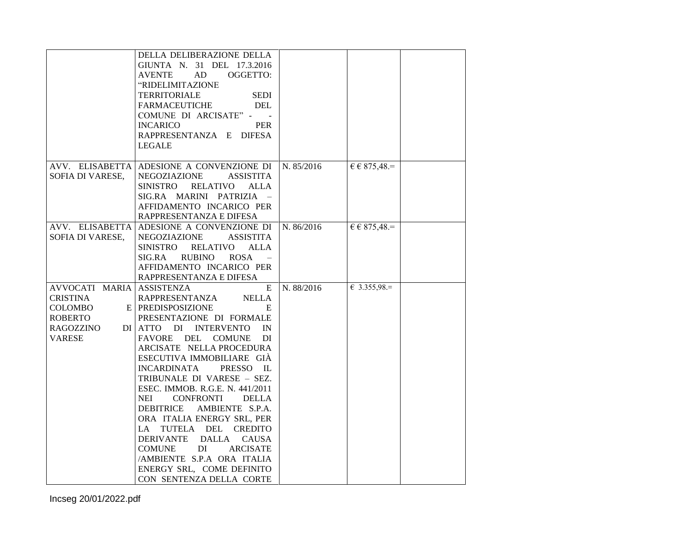|                                                                                                  | DELLA DELIBERAZIONE DELLA<br>GIUNTA N. 31 DEL 17.3.2016<br>AD<br>OGGETTO:<br><b>AVENTE</b><br>"RIDELIMITAZIONE<br><b>TERRITORIALE</b><br><b>SEDI</b><br><b>FARMACEUTICHE</b><br><b>DEL</b><br>COMUNE DI ARCISATE" - -                                                                                                                                                                                                                                                                                                                                                                                                                   |            |                              |  |
|--------------------------------------------------------------------------------------------------|-----------------------------------------------------------------------------------------------------------------------------------------------------------------------------------------------------------------------------------------------------------------------------------------------------------------------------------------------------------------------------------------------------------------------------------------------------------------------------------------------------------------------------------------------------------------------------------------------------------------------------------------|------------|------------------------------|--|
|                                                                                                  | <b>INCARICO</b><br><b>PER</b><br>RAPPRESENTANZA E DIFESA<br><b>LEGALE</b>                                                                                                                                                                                                                                                                                                                                                                                                                                                                                                                                                               |            |                              |  |
| AVV. ELISABETTA<br>SOFIA DI VARESE,                                                              | ADESIONE A CONVENZIONE DI<br>NEGOZIAZIONE<br><b>ASSISTITA</b><br><b>RELATIVO</b><br>SINISTRO<br>ALLA<br>SIG.RA MARINI PATRIZIA -<br>AFFIDAMENTO INCARICO PER<br>RAPPRESENTANZA E DIFESA                                                                                                                                                                                                                                                                                                                                                                                                                                                 | N. 85/2016 | $\epsilon \epsilon$ 875,48.= |  |
| SOFIA DI VARESE,                                                                                 | AVV. ELISABETTA ADESIONE A CONVENZIONE DI<br>NEGOZIAZIONE<br><b>ASSISTITA</b><br><b>RELATIVO</b><br>SINISTRO<br><b>ALLA</b><br>SIG.RA<br><b>RUBINO</b><br><b>ROSA</b><br>AFFIDAMENTO INCARICO PER<br>RAPPRESENTANZA E DIFESA                                                                                                                                                                                                                                                                                                                                                                                                            | N. 86/2016 | $\epsilon \epsilon$ 875,48.= |  |
| AVVOCATI MARIA ASSISTENZA<br>CRISTINA<br>COLOMBO<br><b>ROBERTO</b><br><b>RAGOZZINO</b><br>VARESE | E<br><b>RAPPRESENTANZA</b><br><b>NELLA</b><br>E PREDISPOSIZIONE<br>E<br>PRESENTAZIONE DI FORMALE<br>DI ATTO DI INTERVENTO<br>IN<br>FAVORE DEL COMUNE<br>DI<br>ARCISATE NELLA PROCEDURA<br>ESECUTIVA IMMOBILIARE GIÀ<br><b>INCARDINATA</b><br>PRESSO IL<br>TRIBUNALE DI VARESE - SEZ.<br>ESEC. IMMOB. R.G.E. N. 441/2011<br>NEI<br><b>CONFRONTI</b><br><b>DELLA</b><br><b>DEBITRICE</b><br>AMBIENTE S.P.A.<br>ORA ITALIA ENERGY SRL, PER<br>LA TUTELA DEL<br><b>CREDITO</b><br>DERIVANTE DALLA<br><b>CAUSA</b><br>DI<br><b>COMUNE</b><br>ARCISATE<br>/AMBIENTE S.P.A ORA ITALIA<br>ENERGY SRL, COME DEFINITO<br>CON SENTENZA DELLA CORTE | N. 88/2016 | € 3.355,98.=                 |  |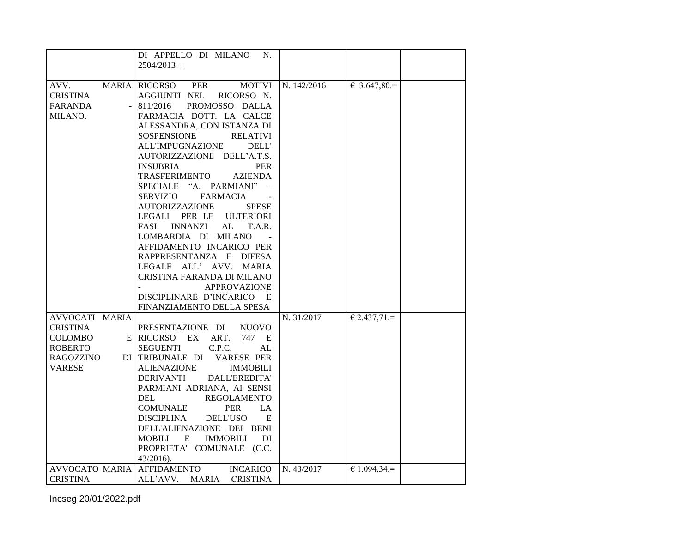|                                                                                       | DI APPELLO DI MILANO<br>N.<br>$2504/2013 =$                                                                                                                                                                                                                                                                                                                                                                                                                                                                                                                                                                                                                                                                                               |             |                |
|---------------------------------------------------------------------------------------|-------------------------------------------------------------------------------------------------------------------------------------------------------------------------------------------------------------------------------------------------------------------------------------------------------------------------------------------------------------------------------------------------------------------------------------------------------------------------------------------------------------------------------------------------------------------------------------------------------------------------------------------------------------------------------------------------------------------------------------------|-------------|----------------|
| MARIA<br>AVV.<br><b>CRISTINA</b><br><b>FARANDA</b><br>MILANO.                         | <b>MOTIVI</b><br>RICORSO<br><b>PER</b><br><b>AGGIUNTI NEL</b><br>RICORSO N.<br>811/2016<br>PROMOSSO DALLA<br>FARMACIA DOTT. LA CALCE<br>ALESSANDRA, CON ISTANZA DI<br>SOSPENSIONE<br><b>RELATIVI</b><br><b>ALL'IMPUGNAZIONE</b><br>DELL'<br>AUTORIZZAZIONE DELL'A.T.S.<br><b>INSUBRIA</b><br><b>PER</b><br>TRASFERIMENTO<br><b>AZIENDA</b><br>SPECIALE "A. PARMIANI" -<br>SERVIZIO<br>FARMACIA<br>AUTORIZZAZIONE<br><b>SPESE</b><br>LEGALI PER LE<br><b>ULTERIORI</b><br>FASI<br><b>INNANZI</b><br>AL<br>T.A.R.<br>LOMBARDIA DI MILANO<br>AFFIDAMENTO INCARICO PER<br>RAPPRESENTANZA E DIFESA<br>LEGALE ALL' AVV. MARIA<br>CRISTINA FARANDA DI MILANO<br><b>APPROVAZIONE</b><br>DISCIPLINARE D'INCARICO<br>E<br>FINANZIAMENTO DELLA SPESA | N. 142/2016 | $6.3.647,80=$  |
| AVVOCATI MARIA                                                                        |                                                                                                                                                                                                                                                                                                                                                                                                                                                                                                                                                                                                                                                                                                                                           | N. 31/2017  | $€ 2.437,71.=$ |
| CRISTINA<br>COLOMBO<br>ROBERTO<br><b>RAGOZZINO</b><br>VARESE<br><b>AVVOCATO MARIA</b> | PRESENTAZIONE DI<br><b>NUOVO</b><br>$E $ RICORSO EX ART.<br>747 E<br>C.P.C.<br><b>SEGUENTI</b><br>AL<br>DI TRIBUNALE DI<br><b>VARESE PER</b><br><b>ALIENAZIONE</b><br><b>IMMOBILI</b><br><b>DERIVANTI</b><br>DALL'EREDITA'<br>PARMIANI ADRIANA, AI SENSI<br>DEL<br><b>REGOLAMENTO</b><br><b>COMUNALE</b><br><b>PER</b><br>LA<br><b>DISCIPLINA</b><br><b>DELL'USO</b><br>E<br>DELL'ALIENAZIONE DEI BENI<br><b>IMMOBILI</b><br>MOBILI<br>E<br>DI<br>PROPRIETA' COMUNALE (C.C.<br>43/2016).<br><b>AFFIDAMENTO</b><br><b>INCARICO</b>                                                                                                                                                                                                         | N. 43/2017  | € 1.094,34.=   |
| <b>CRISTINA</b>                                                                       | ALL'AVV.<br>MARIA<br><b>CRISTINA</b>                                                                                                                                                                                                                                                                                                                                                                                                                                                                                                                                                                                                                                                                                                      |             |                |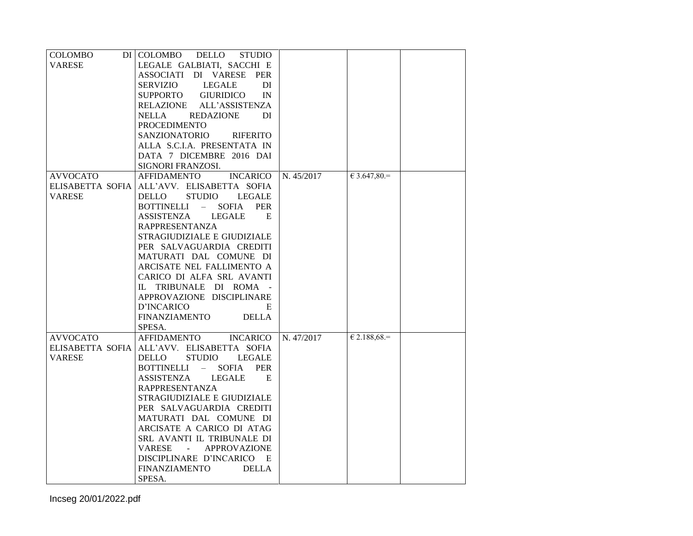| COLOMBO          | DI COLOMBO<br>DELLO<br><b>STUDIO</b>                            |            |                |  |
|------------------|-----------------------------------------------------------------|------------|----------------|--|
| <b>VARESE</b>    | LEGALE GALBIATI, SACCHI E                                       |            |                |  |
|                  | ASSOCIATI DI VARESE PER                                         |            |                |  |
|                  | <b>SERVIZIO</b><br><b>LEGALE</b><br>DI                          |            |                |  |
|                  | SUPPORTO<br><b>GIURIDICO</b><br>IN                              |            |                |  |
|                  | RELAZIONE<br>ALL'ASSISTENZA                                     |            |                |  |
|                  | NELLA<br><b>REDAZIONE</b><br>DI                                 |            |                |  |
|                  | <b>PROCEDIMENTO</b>                                             |            |                |  |
|                  | SANZIONATORIO<br><b>RIFERITO</b>                                |            |                |  |
|                  | ALLA S.C.I.A. PRESENTATA IN                                     |            |                |  |
|                  | DATA 7 DICEMBRE 2016 DAI                                        |            |                |  |
|                  | SIGNORI FRANZOSI.                                               |            |                |  |
| <b>AVVOCATO</b>  | <b>AFFIDAMENTO</b><br><b>INCARICO</b>                           | N. 45/2017 | $€ 3.647,80=$  |  |
| ELISABETTA SOFIA | ALL'AVV. ELISABETTA SOFIA                                       |            |                |  |
| <b>VARESE</b>    | <b>STUDIO</b><br>DELLO<br>LEGALE                                |            |                |  |
|                  | <b>BOTTINELLI</b><br>- SOFIA<br><b>PER</b>                      |            |                |  |
|                  | <b>LEGALE</b><br>ASSISTENZA<br>E                                |            |                |  |
|                  | <b>RAPPRESENTANZA</b>                                           |            |                |  |
|                  | STRAGIUDIZIALE E GIUDIZIALE                                     |            |                |  |
|                  | PER SALVAGUARDIA CREDITI                                        |            |                |  |
|                  | MATURATI DAL COMUNE DI                                          |            |                |  |
|                  | ARCISATE NEL FALLIMENTO A                                       |            |                |  |
|                  | CARICO DI ALFA SRL AVANTI                                       |            |                |  |
|                  | IL TRIBUNALE DI ROMA -                                          |            |                |  |
|                  | APPROVAZIONE DISCIPLINARE                                       |            |                |  |
|                  | D'INCARICO<br>E                                                 |            |                |  |
|                  | <b>FINANZIAMENTO</b><br><b>DELLA</b>                            |            |                |  |
|                  | SPESA.                                                          |            |                |  |
| <b>AVVOCATO</b>  | AFFIDAMENTO INCARICO                                            | N. 47/2017 | $€ 2.188,68.=$ |  |
| ELISABETTA SOFIA | ALL'AVV. ELISABETTA SOFIA                                       |            |                |  |
| VARESE           | DELLO<br><b>STUDIO</b><br>LEGALE                                |            |                |  |
|                  | BOTTINELLI – SOFIA<br><b>PER</b>                                |            |                |  |
|                  | ASSISTENZA<br>LEGALE<br>E                                       |            |                |  |
|                  | <b>RAPPRESENTANZA</b>                                           |            |                |  |
|                  | STRAGIUDIZIALE E GIUDIZIALE                                     |            |                |  |
|                  | PER SALVAGUARDIA CREDITI                                        |            |                |  |
|                  | MATURATI DAL COMUNE DI                                          |            |                |  |
|                  | ARCISATE A CARICO DI ATAG                                       |            |                |  |
|                  | SRL AVANTI IL TRIBUNALE DI                                      |            |                |  |
|                  | <b>VARESE</b><br><b>APPROVAZIONE</b><br>$\sim 100$ km s $^{-1}$ |            |                |  |
|                  | DISCIPLINARE D'INCARICO E                                       |            |                |  |
|                  | <b>FINANZIAMENTO</b><br><b>DELLA</b>                            |            |                |  |
|                  | SPESA.                                                          |            |                |  |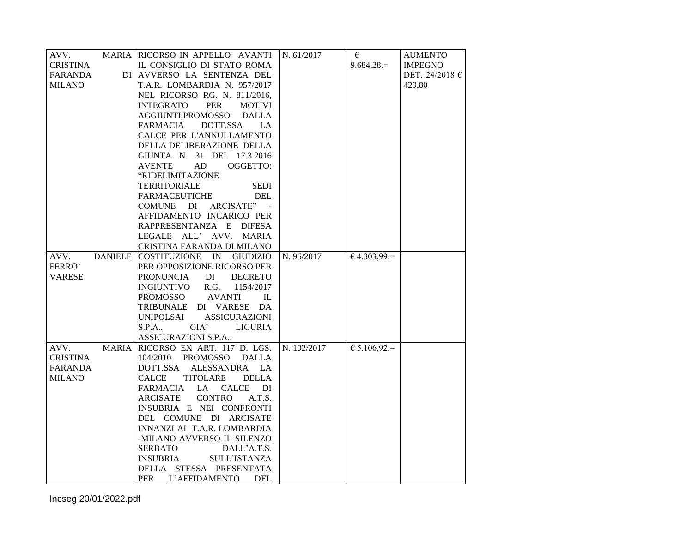| AVV.            |              | MARIA RICORSO IN APPELLO AVANTI N. 61/2017             |             | €                     | <b>AUMENTO</b>     |
|-----------------|--------------|--------------------------------------------------------|-------------|-----------------------|--------------------|
| <b>CRISTINA</b> |              | IL CONSIGLIO DI STATO ROMA                             |             | $9.684,28.=$          | <b>IMPEGNO</b>     |
| FARANDA         |              | DI AVVERSO LA SENTENZA DEL                             |             |                       | DET. 24/2018 $\in$ |
| <b>MILANO</b>   |              | T.A.R. LOMBARDIA N. 957/2017                           |             |                       | 429,80             |
|                 |              | NEL RICORSO RG. N. 811/2016,                           |             |                       |                    |
|                 |              | PER<br><b>INTEGRATO</b><br><b>MOTIVI</b>               |             |                       |                    |
|                 |              | AGGIUNTI, PROMOSSO DALLA                               |             |                       |                    |
|                 |              | <b>FARMACIA</b><br>DOTT.SSA<br>LA.                     |             |                       |                    |
|                 |              | CALCE PER L'ANNULLAMENTO                               |             |                       |                    |
|                 |              | DELLA DELIBERAZIONE DELLA                              |             |                       |                    |
|                 |              | GIUNTA N. 31 DEL 17.3.2016                             |             |                       |                    |
|                 |              | OGGETTO:<br>AVENTE<br>AD                               |             |                       |                    |
|                 |              | "RIDELIMITAZIONE                                       |             |                       |                    |
|                 |              | <b>TERRITORIALE</b><br><b>SEDI</b>                     |             |                       |                    |
|                 |              | <b>FARMACEUTICHE</b><br><b>DEL</b>                     |             |                       |                    |
|                 |              | COMUNE DI ARCISATE"                                    |             |                       |                    |
|                 |              | AFFIDAMENTO INCARICO PER                               |             |                       |                    |
|                 |              | RAPPRESENTANZA E DIFESA                                |             |                       |                    |
|                 |              | LEGALE ALL' AVV. MARIA                                 |             |                       |                    |
|                 |              | CRISTINA FARANDA DI MILANO                             |             |                       |                    |
| AVV.            |              | DANIELE COSTITUZIONE IN GIUDIZIO                       | N. 95/2017  | $64.303,99=$          |                    |
| FERRO'          |              | PER OPPOSIZIONE RICORSO PER                            |             |                       |                    |
| <b>VARESE</b>   |              | <b>PRONUNCIA</b><br>DI<br><b>DECRETO</b>               |             |                       |                    |
|                 |              | INGIUNTIVO<br>R.G.<br>1154/2017                        |             |                       |                    |
|                 |              | PROMOSSO<br><b>AVANTI</b><br>$\mathbf{L}$              |             |                       |                    |
|                 |              | TRIBUNALE DI VARESE DA                                 |             |                       |                    |
|                 |              | UNIPOLSAI<br><b>ASSICURAZIONI</b>                      |             |                       |                    |
|                 |              | S.P.A.,<br>GIA'<br>LIGURIA                             |             |                       |                    |
|                 |              |                                                        |             |                       |                    |
| AVV.            | <b>MARIA</b> | ASSICURAZIONI S.P.A                                    |             |                       |                    |
|                 |              | RICORSO EX ART. 117 D. LGS.                            | N. 102/2017 | $\epsilon$ 5.106,92.= |                    |
| <b>CRISTINA</b> |              | 104/2010 PROMOSSO DALLA                                |             |                       |                    |
| FARANDA         |              | DOTT.SSA ALESSANDRA LA                                 |             |                       |                    |
| <b>MILANO</b>   |              | TITOLARE<br><b>DELLA</b><br>CALCE<br>FARMACIA LA CALCE |             |                       |                    |
|                 |              | DI                                                     |             |                       |                    |
|                 |              | <b>CONTRO</b><br>ARCISATE<br>A.T.S.                    |             |                       |                    |
|                 |              | INSUBRIA E NEI CONFRONTI                               |             |                       |                    |
|                 |              | DEL COMUNE DI ARCISATE                                 |             |                       |                    |
|                 |              | INNANZI AL T.A.R. LOMBARDIA                            |             |                       |                    |
|                 |              | -MILANO AVVERSO IL SILENZO                             |             |                       |                    |
|                 |              | <b>SERBATO</b><br>DALL'A.T.S.                          |             |                       |                    |
|                 |              | <b>INSUBRIA</b><br>SULL'ISTANZA                        |             |                       |                    |
|                 |              | DELLA STESSA PRESENTATA                                |             |                       |                    |
|                 |              | PER<br><b>DEL</b><br>L'AFFIDAMENTO                     |             |                       |                    |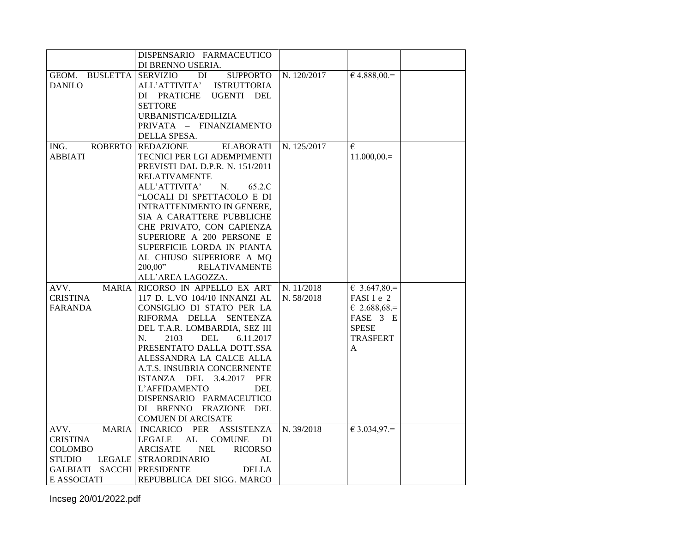|                          | DISPENSARIO FARMACEUTICO                        |             |                      |
|--------------------------|-------------------------------------------------|-------------|----------------------|
|                          | DI BRENNO USERIA.                               |             |                      |
| <b>BUSLETTA</b><br>GEOM. | <b>SERVIZIO</b><br><b>SUPPORTO</b><br>DI        | N. 120/2017 | $64.888,00=$         |
| <b>DANILO</b>            | ALL'ATTIVITA'<br><b>ISTRUTTORIA</b>             |             |                      |
|                          | DI PRATICHE<br><b>UGENTI</b><br>DEL             |             |                      |
|                          | <b>SETTORE</b>                                  |             |                      |
|                          | URBANISTICA/EDILIZIA                            |             |                      |
|                          | PRIVATA - FINANZIAMENTO                         |             |                      |
|                          | DELLA SPESA.                                    |             |                      |
| ROBERTO<br>ING.          | <b>REDAZIONE</b><br><b>ELABORATI</b>            | N. 125/2017 | $\epsilon$           |
| <b>ABBIATI</b>           | TECNICI PER LGI ADEMPIMENTI                     |             | $11.000,00.=$        |
|                          | PREVISTI DAL D.P.R. N. 151/2011                 |             |                      |
|                          | <b>RELATIVAMENTE</b>                            |             |                      |
|                          | ALL'ATTIVITA'<br>N.<br>65.2.C                   |             |                      |
|                          | "LOCALI DI SPETTACOLO E DI                      |             |                      |
|                          | INTRATTENIMENTO IN GENERE,                      |             |                      |
|                          | SIA A CARATTERE PUBBLICHE                       |             |                      |
|                          | CHE PRIVATO, CON CAPIENZA                       |             |                      |
|                          | SUPERIORE A 200 PERSONE E                       |             |                      |
|                          | SUPERFICIE LORDA IN PIANTA                      |             |                      |
|                          | AL CHIUSO SUPERIORE A MQ                        |             |                      |
|                          | 200,00"<br><b>RELATIVAMENTE</b>                 |             |                      |
|                          | ALL'AREA LAGOZZA.                               |             |                      |
| <b>MARIA</b><br>AVV.     | RICORSO IN APPELLO EX ART                       | N. 11/2018  | $6.3.647,80=$        |
| <b>CRISTINA</b>          | 117 D. L.VO 104/10 INNANZI AL                   | N. 58/2018  | FASI 1 e 2           |
| FARANDA                  | CONSIGLIO DI STATO PER LA                       |             | $\epsilon$ 2.688,68. |
|                          | RIFORMA DELLA<br><b>SENTENZA</b>                |             | FASE 3 E             |
|                          | DEL T.A.R. LOMBARDIA, SEZ III                   |             | <b>SPESE</b>         |
|                          | N.<br>2103<br><b>DEL</b><br>6.11.2017           |             | <b>TRASFERT</b>      |
|                          | PRESENTATO DALLA DOTT.SSA                       |             | A                    |
|                          | ALESSANDRA LA CALCE ALLA                        |             |                      |
|                          | A.T.S. INSUBRIA CONCERNENTE                     |             |                      |
|                          | ISTANZA DEL 3.4.2017<br>PER                     |             |                      |
|                          | L'AFFIDAMENTO<br><b>DEL</b>                     |             |                      |
|                          | DISPENSARIO FARMACEUTICO                        |             |                      |
|                          | DI BRENNO FRAZIONE DEL                          |             |                      |
|                          | <b>COMUEN DI ARCISATE</b>                       |             |                      |
| AVV.<br><b>MARIA</b>     | <b>INCARICO</b><br>PER<br><b>ASSISTENZA</b>     | N. 39/2018  | $€ 3.034,97.=$       |
| <b>CRISTINA</b>          | <b>LEGALE</b><br>AL<br><b>COMUNE</b><br>DI      |             |                      |
| COLOMBO                  | <b>ARCISATE</b><br><b>NEL</b><br><b>RICORSO</b> |             |                      |
| STUDIO                   | LEGALE STRAORDINARIO<br>AL                      |             |                      |
| GALBIATI                 | <b>SACCHI PRESIDENTE</b><br><b>DELLA</b>        |             |                      |
| E ASSOCIATI              | REPUBBLICA DEI SIGG. MARCO                      |             |                      |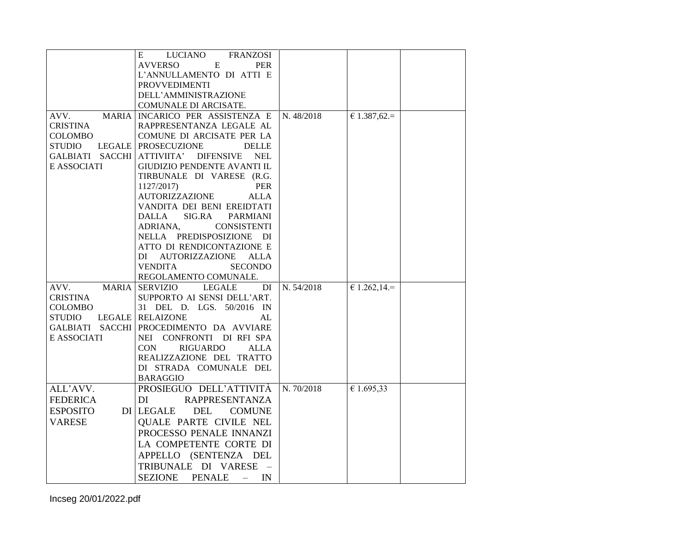|                      | LUCIANO<br><b>FRANZOSI</b><br>E                    |            |                |  |
|----------------------|----------------------------------------------------|------------|----------------|--|
|                      | <b>AVVERSO</b><br>E<br>PER                         |            |                |  |
|                      | L'ANNULLAMENTO DI ATTI E                           |            |                |  |
|                      | <b>PROVVEDIMENTI</b>                               |            |                |  |
|                      | DELL'AMMINISTRAZIONE                               |            |                |  |
|                      | COMUNALE DI ARCISATE.                              |            |                |  |
| AVV.<br><b>MARIA</b> | INCARICO PER ASSISTENZA E                          | N. 48/2018 | € 1.387,62.=   |  |
| <b>CRISTINA</b>      | RAPPRESENTANZA LEGALE AL                           |            |                |  |
| COLOMBO              | COMUNE DI ARCISATE PER LA                          |            |                |  |
| <b>STUDIO</b>        | LEGALE   PROSECUZIONE<br><b>DELLE</b>              |            |                |  |
|                      | GALBIATI SACCHI ATTIVIITA' DIFENSIVE<br><b>NEL</b> |            |                |  |
| E ASSOCIATI          | GIUDIZIO PENDENTE AVANTI IL                        |            |                |  |
|                      | TIRBUNALE DI VARESE (R.G.                          |            |                |  |
|                      | 1127/2017)<br>PER                                  |            |                |  |
|                      | <b>AUTORIZZAZIONE</b><br><b>ALLA</b>               |            |                |  |
|                      | VANDITA DEI BENI EREIDTATI                         |            |                |  |
|                      | <b>DALLA</b><br>SIG.RA<br>PARMIANI                 |            |                |  |
|                      | ADRIANA.<br><b>CONSISTENTI</b>                     |            |                |  |
|                      | NELLA PREDISPOSIZIONE DI                           |            |                |  |
|                      | ATTO DI RENDICONTAZIONE E                          |            |                |  |
|                      | DI AUTORIZZAZIONE ALLA                             |            |                |  |
|                      | <b>VENDITA</b><br><b>SECONDO</b>                   |            |                |  |
|                      | REGOLAMENTO COMUNALE.                              |            |                |  |
| <b>MARIA</b><br>AVV. | <b>SERVIZIO</b><br><b>LEGALE</b><br>DI             | N. 54/2018 | € 1.262,14 $=$ |  |
| <b>CRISTINA</b>      | SUPPORTO AI SENSI DELL'ART.                        |            |                |  |
| COLOMBO              | 31 DEL D. LGS. 50/2016 IN                          |            |                |  |
| STUDIO               | LEGALE RELAIZONE<br>AL                             |            |                |  |
|                      | GALBIATI SACCHI PROCEDIMENTO DA AVVIARE            |            |                |  |
| E ASSOCIATI          | NEI CONFRONTI DI RFI SPA                           |            |                |  |
|                      | CON<br>RIGUARDO<br><b>ALLA</b>                     |            |                |  |
|                      | REALIZZAZIONE DEL TRATTO                           |            |                |  |
|                      | DI STRADA COMUNALE DEL                             |            |                |  |
|                      | <b>BARAGGIO</b>                                    |            |                |  |
| ALL'AVV.             | PROSIEGUO DELL'ATTIVITÀ                            | N. 70/2018 | € 1.695,33     |  |
| <b>FEDERICA</b>      | <b>RAPPRESENTANZA</b><br>DI                        |            |                |  |
| <b>ESPOSITO</b>      | <b>DEL</b><br>DI LEGALE<br><b>COMUNE</b>           |            |                |  |
| <b>VARESE</b>        | <b>QUALE PARTE CIVILE NEL</b>                      |            |                |  |
|                      | PROCESSO PENALE INNANZI                            |            |                |  |
|                      | LA COMPETENTE CORTE DI                             |            |                |  |
|                      | APPELLO (SENTENZA DEL                              |            |                |  |
|                      |                                                    |            |                |  |
|                      | TRIBUNALE DI VARESE                                |            |                |  |
|                      | <b>PENALE</b><br>IN<br><b>SEZIONE</b><br>$\equiv$  |            |                |  |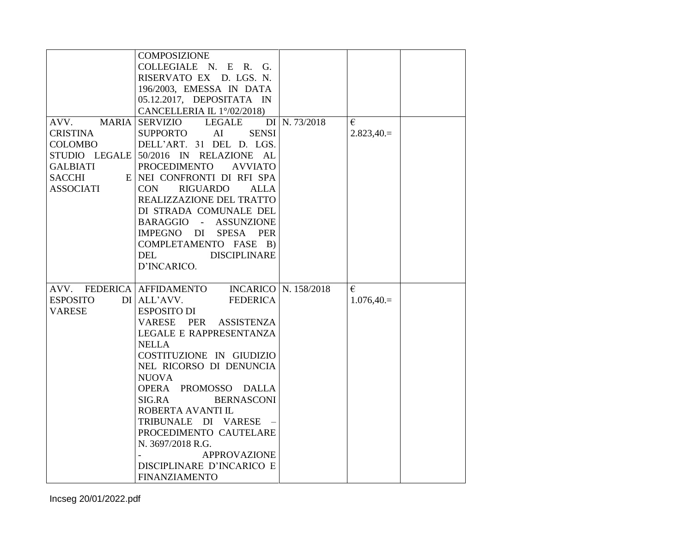|                  | <b>COMPOSIZIONE</b>                                  |               |             |  |
|------------------|------------------------------------------------------|---------------|-------------|--|
|                  |                                                      |               |             |  |
|                  | COLLEGIALE N. E R. G.                                |               |             |  |
|                  | RISERVATO EX D. LGS. N.                              |               |             |  |
|                  | 196/2003, EMESSA IN DATA                             |               |             |  |
|                  | 05.12.2017, DEPOSITATA IN                            |               |             |  |
|                  | CANCELLERIA IL 1°/02/2018)                           |               |             |  |
| AVV.             | <b>MARIA SERVIZIO</b><br><b>LEGALE</b>               | DI N. 73/2018 | €           |  |
| <b>CRISTINA</b>  | <b>SUPPORTO</b><br>AI<br><b>SENSI</b>                |               | $2.823,40=$ |  |
| <b>COLOMBO</b>   | DELL'ART. 31 DEL D. LGS.                             |               |             |  |
|                  | STUDIO LEGALE 50/2016 IN RELAZIONE AL                |               |             |  |
| <b>GALBIATI</b>  | <b>PROCEDIMENTO</b><br><b>AVVIATO</b>                |               |             |  |
| <b>SACCHI</b>    | E NEI CONFRONTI DI RFI SPA                           |               |             |  |
| <b>ASSOCIATI</b> | CON<br><b>RIGUARDO</b><br><b>ALLA</b>                |               |             |  |
|                  | REALIZZAZIONE DEL TRATTO                             |               |             |  |
|                  | DI STRADA COMUNALE DEL                               |               |             |  |
|                  | <b>ASSUNZIONE</b><br>BARAGGIO<br>$\omega_{\rm{max}}$ |               |             |  |
|                  | SPESA PER<br>IMPEGNO DI                              |               |             |  |
|                  | COMPLETAMENTO FASE B)                                |               |             |  |
|                  | <b>DEL</b><br><b>DISCIPLINARE</b>                    |               |             |  |
|                  | D'INCARICO.                                          |               |             |  |
|                  |                                                      |               |             |  |
|                  | AVV. FEDERICA AFFIDAMENTO INCARICO N. 158/2018       |               | €           |  |
| <b>ESPOSITO</b>  | DI ALL'AVV.<br><b>FEDERICA</b>                       |               | $1.076,40=$ |  |
| <b>VARESE</b>    | <b>ESPOSITO DI</b>                                   |               |             |  |
|                  | VARESE PER<br><b>ASSISTENZA</b>                      |               |             |  |
|                  | LEGALE E RAPPRESENTANZA                              |               |             |  |
|                  | <b>NELLA</b>                                         |               |             |  |
|                  | COSTITUZIONE IN GIUDIZIO                             |               |             |  |
|                  | NEL RICORSO DI DENUNCIA                              |               |             |  |
|                  | <b>NUOVA</b>                                         |               |             |  |
|                  | OPERA PROMOSSO DALLA                                 |               |             |  |
|                  | SIG.RA<br><b>BERNASCONI</b>                          |               |             |  |
|                  | ROBERTA AVANTI IL                                    |               |             |  |
|                  |                                                      |               |             |  |
|                  | TRIBUNALE DI VARESE -                                |               |             |  |
|                  | PROCEDIMENTO CAUTELARE                               |               |             |  |
|                  | N. 3697/2018 R.G.                                    |               |             |  |
|                  | <b>APPROVAZIONE</b>                                  |               |             |  |
|                  | DISCIPLINARE D'INCARICO E                            |               |             |  |
|                  | <b>FINANZIAMENTO</b>                                 |               |             |  |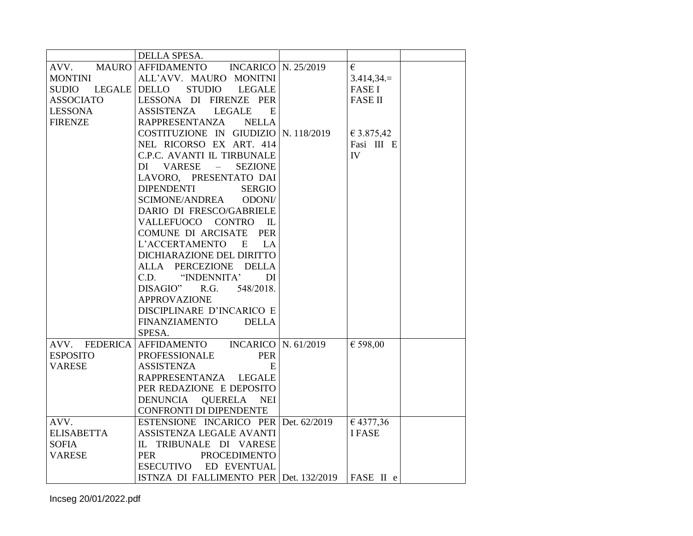|                   | DELLA SPESA.                                   |                |
|-------------------|------------------------------------------------|----------------|
|                   | AVV. MAURO   AFFIDAMENTO INCARICO   N. 25/2019 | €              |
| <b>MONTINI</b>    | ALL'AVV. MAURO MONITNI                         | $3.414,34.=$   |
|                   | SUDIO LEGALE DELLO STUDIO<br><b>LEGALE</b>     | <b>FASE I</b>  |
| <b>ASSOCIATO</b>  | LESSONA DI FIRENZE PER                         | <b>FASE II</b> |
| <b>LESSONA</b>    | ASSISTENZA LEGALE<br>E                         |                |
| <b>FIRENZE</b>    | RAPPRESENTANZA NELLA                           |                |
|                   | COSTITUZIONE IN GIUDIZIO N. 118/2019           | € 3.875,42     |
|                   | NEL RICORSO EX ART. 414                        | Fasi III E     |
|                   | C.P.C. AVANTI IL TIRBUNALE                     | IV             |
|                   | VARESE –<br><b>SEZIONE</b><br>DI               |                |
|                   | LAVORO, PRESENTATO DAI                         |                |
|                   | <b>DIPENDENTI</b><br><b>SERGIO</b>             |                |
|                   | SCIMONE/ANDREA<br>ODONI/                       |                |
|                   | DARIO DI FRESCO/GABRIELE                       |                |
|                   | VALLEFUOCO CONTRO IL                           |                |
|                   | COMUNE DI ARCISATE PER                         |                |
|                   | L'ACCERTAMENTO E LA                            |                |
|                   | DICHIARAZIONE DEL DIRITTO                      |                |
|                   | ALLA PERCEZIONE DELLA                          |                |
|                   | C.D. "INDENNITA"<br>DI                         |                |
|                   | DISAGIO" R.G.<br>548/2018.                     |                |
|                   | <b>APPROVAZIONE</b>                            |                |
|                   | DISCIPLINARE D'INCARICO E                      |                |
|                   | <b>FINANZIAMENTO</b><br><b>DELLA</b>           |                |
|                   | SPESA.                                         |                |
|                   | AVV. FEDERICA AFFIDAMENTO INCARICO N. 61/2019  | € 598,00       |
| <b>ESPOSITO</b>   | <b>PER</b><br><b>PROFESSIONALE</b>             |                |
| <b>VARESE</b>     | <b>ASSISTENZA</b><br>E                         |                |
|                   | RAPPRESENTANZA LEGALE                          |                |
|                   | PER REDAZIONE E DEPOSITO                       |                |
|                   | QUERELA NEI<br>DENUNCIA                        |                |
|                   | CONFRONTI DI DIPENDENTE                        |                |
| AVV.              | ESTENSIONE INCARICO PER Det. 62/2019           | €4377,36       |
| <b>ELISABETTA</b> | ASSISTENZA LEGALE AVANTI                       | <b>IFASE</b>   |
| <b>SOFIA</b>      | IL TRIBUNALE DI VARESE                         |                |
| <b>VARESE</b>     | PER<br><b>PROCEDIMENTO</b>                     |                |
|                   | ESECUTIVO ED EVENTUAL                          |                |
|                   | ISTNZA DI FALLIMENTO PER Det. 132/2019         | FASE II e      |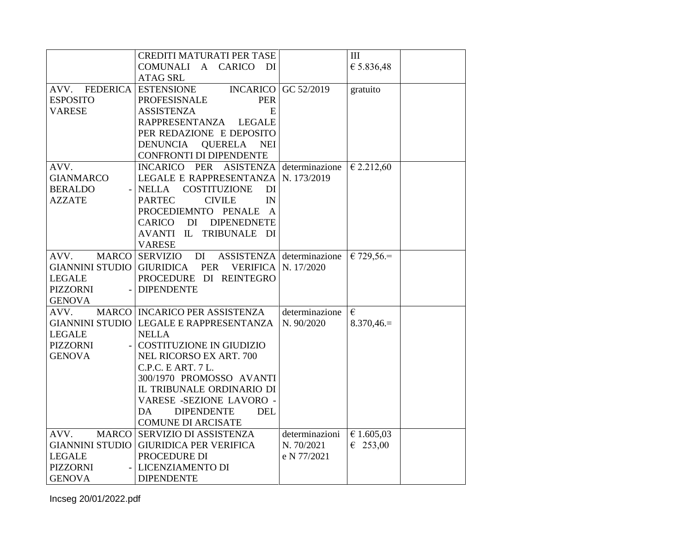|                          | CREDITI MATURATI PER TASE                               |                            | III               |
|--------------------------|---------------------------------------------------------|----------------------------|-------------------|
|                          | COMUNALI A CARICO<br>- DI                               |                            | € 5.836,48        |
|                          | <b>ATAG SRL</b>                                         |                            |                   |
| AVV. FEDERICA ESTENSIONE |                                                         | <b>INCARICO</b> GC 52/2019 | gratuito          |
| <b>ESPOSITO</b>          | <b>PER</b><br><b>PROFESISNALE</b>                       |                            |                   |
| <b>VARESE</b>            | <b>ASSISTENZA</b><br>E                                  |                            |                   |
|                          | RAPPRESENTANZA<br><b>LEGALE</b>                         |                            |                   |
|                          | PER REDAZIONE E DEPOSITO                                |                            |                   |
|                          | <b>DENUNCIA</b><br><b>QUERELA</b><br><b>NEI</b>         |                            |                   |
|                          | CONFRONTI DI DIPENDENTE                                 |                            |                   |
| AVV.                     | INCARICO PER ASISTENZA determinazione                   |                            | € 2.212,60        |
| <b>GIANMARCO</b>         | LEGALE E RAPPRESENTANZA                                 | N. 173/2019                |                   |
| <b>BERALDO</b>           | <b>COSTITUZIONE</b><br><b>NELLA</b><br>DI               |                            |                   |
| <b>AZZATE</b>            | <b>PARTEC</b><br><b>CIVILE</b><br>IN                    |                            |                   |
|                          | PROCEDIEMNTO PENALE A                                   |                            |                   |
|                          | CARICO DI DIPENEDNETE                                   |                            |                   |
|                          | AVANTI IL TRIBUNALE DI                                  |                            |                   |
|                          | <b>VARESE</b>                                           |                            |                   |
| AVV.                     | <b>MARCO SERVIZIO</b><br>DI                             | ASSISTENZA determinazione  | $€ 729,56=$       |
| <b>GIANNINI STUDIO</b>   | <b>GIURIDICA</b><br>PER<br><b>VERIFICA   N. 17/2020</b> |                            |                   |
| <b>LEGALE</b>            | PROCEDURE DI REINTEGRO                                  |                            |                   |
| <b>PIZZORNI</b>          | <b>DIPENDENTE</b>                                       |                            |                   |
| <b>GENOVA</b>            |                                                         |                            |                   |
| AVV.                     | MARCO   INCARICO PER ASSISTENZA                         | determinazione             | €                 |
|                          | GIANNINI STUDIO LEGALE E RAPPRESENTANZA                 | N. 90/2020                 | $8.370,46=$       |
| <b>LEGALE</b>            | <b>NELLA</b>                                            |                            |                   |
| <b>PIZZORNI</b>          | COSTITUZIONE IN GIUDIZIO                                |                            |                   |
| <b>GENOVA</b>            | NEL RICORSO EX ART. 700                                 |                            |                   |
|                          | C.P.C. E ART. 7 L.                                      |                            |                   |
|                          | 300/1970 PROMOSSO AVANTI                                |                            |                   |
|                          | IL TRIBUNALE ORDINARIO DI                               |                            |                   |
|                          | VARESE -SEZIONE LAVORO -                                |                            |                   |
|                          | DA<br><b>DIPENDENTE</b><br><b>DEL</b>                   |                            |                   |
|                          | <b>COMUNE DI ARCISATE</b>                               |                            |                   |
| AVV.                     | MARCO SERVIZIO DI ASSISTENZA                            | determinazioni             | € 1.605,03        |
| <b>GIANNINI STUDIO</b>   | <b>GIURIDICA PER VERIFICA</b>                           | N. 70/2021                 | $\epsilon$ 253,00 |
| <b>LEGALE</b>            | PROCEDURE DI                                            | e N 77/2021                |                   |
| <b>PIZZORNI</b>          | LICENZIAMENTO DI                                        |                            |                   |
| <b>GENOVA</b>            | <b>DIPENDENTE</b>                                       |                            |                   |